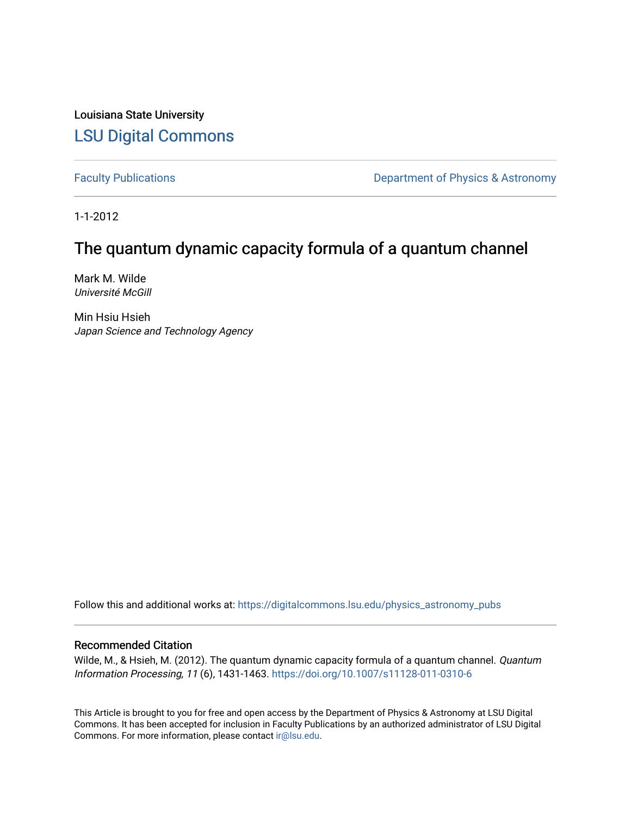Louisiana State University [LSU Digital Commons](https://digitalcommons.lsu.edu/)

[Faculty Publications](https://digitalcommons.lsu.edu/physics_astronomy_pubs) **Exercise 2** Constant Department of Physics & Astronomy

1-1-2012

# The quantum dynamic capacity formula of a quantum channel

Mark M. Wilde Université McGill

Min Hsiu Hsieh Japan Science and Technology Agency

Follow this and additional works at: [https://digitalcommons.lsu.edu/physics\\_astronomy\\_pubs](https://digitalcommons.lsu.edu/physics_astronomy_pubs?utm_source=digitalcommons.lsu.edu%2Fphysics_astronomy_pubs%2F5747&utm_medium=PDF&utm_campaign=PDFCoverPages) 

# Recommended Citation

Wilde, M., & Hsieh, M. (2012). The quantum dynamic capacity formula of a quantum channel. *Quantum* Information Processing, 11 (6), 1431-1463. <https://doi.org/10.1007/s11128-011-0310-6>

This Article is brought to you for free and open access by the Department of Physics & Astronomy at LSU Digital Commons. It has been accepted for inclusion in Faculty Publications by an authorized administrator of LSU Digital Commons. For more information, please contact [ir@lsu.edu](mailto:ir@lsu.edu).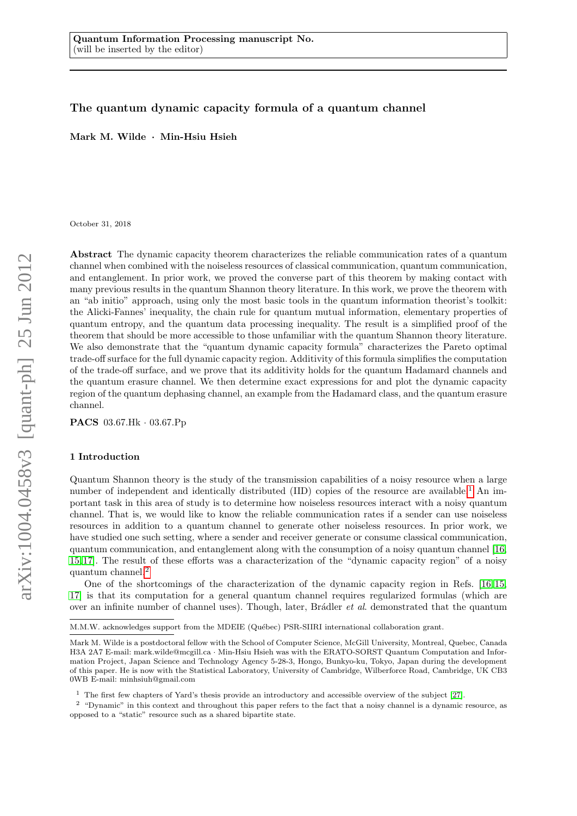# The quantum dynamic capacity formula of a quantum channel

Mark M. Wilde · Min-Hsiu Hsieh

October 31, 2018

Abstract The dynamic capacity theorem characterizes the reliable communication rates of a quantum channel when combined with the noiseless resources of classical communication, quantum communication, and entanglement. In prior work, we proved the converse part of this theorem by making contact with many previous results in the quantum Shannon theory literature. In this work, we prove the theorem with an "ab initio" approach, using only the most basic tools in the quantum information theorist's toolkit: the Alicki-Fannes' inequality, the chain rule for quantum mutual information, elementary properties of quantum entropy, and the quantum data processing inequality. The result is a simplified proof of the theorem that should be more accessible to those unfamiliar with the quantum Shannon theory literature. We also demonstrate that the "quantum dynamic capacity formula" characterizes the Pareto optimal trade-off surface for the full dynamic capacity region. Additivity of this formula simplifies the computation of the trade-off surface, and we prove that its additivity holds for the quantum Hadamard channels and the quantum erasure channel. We then determine exact expressions for and plot the dynamic capacity region of the quantum dephasing channel, an example from the Hadamard class, and the quantum erasure channel.

PACS 03.67.Hk · 03.67.Pp

# 1 Introduction

Quantum Shannon theory is the study of the transmission capabilities of a noisy resource when a large number of independent and identically distributed (IID) copies of the resource are available.<sup>[1](#page-1-0)</sup> An important task in this area of study is to determine how noiseless resources interact with a noisy quantum channel. That is, we would like to know the reliable communication rates if a sender can use noiseless resources in addition to a quantum channel to generate other noiseless resources. In prior work, we have studied one such setting, where a sender and receiver generate or consume classical communication, quantum communication, and entanglement along with the consumption of a noisy quantum channel [\[16,](#page-24-0) [15,](#page-23-0) [17\]](#page-24-1). The result of these efforts was a characterization of the "dynamic capacity region" of a noisy quantum channel.[2](#page-1-1)

One of the shortcomings of the characterization of the dynamic capacity region in Refs. [\[16,](#page-24-0) [15,](#page-23-0) [17\]](#page-24-1) is that its computation for a general quantum channel requires regularized formulas (which are over an infinite number of channel uses). Though, later, Bradler *et al.* demonstrated that the quantum

M.M.W. acknowledges support from the MDEIE (Québec) PSR-SIIRI international collaboration grant.

Mark M. Wilde is a postdoctoral fellow with the School of Computer Science, McGill University, Montreal, Quebec, Canada H3A 2A7 E-mail: mark.wilde@mcgill.ca · Min-Hsiu Hsieh was with the ERATO-SORST Quantum Computation and Information Project, Japan Science and Technology Agency 5-28-3, Hongo, Bunkyo-ku, Tokyo, Japan during the development of this paper. He is now with the Statistical Laboratory, University of Cambridge, Wilberforce Road, Cambridge, UK CB3 0WB E-mail: minhsiuh@gmail.com

<span id="page-1-1"></span><span id="page-1-0"></span><sup>1</sup> The first few chapters of Yard's thesis provide an introductory and accessible overview of the subject [\[27\]](#page-24-2).

<sup>&</sup>lt;sup>2</sup> "Dynamic" in this context and throughout this paper refers to the fact that a noisy channel is a dynamic resource, as opposed to a "static" resource such as a shared bipartite state.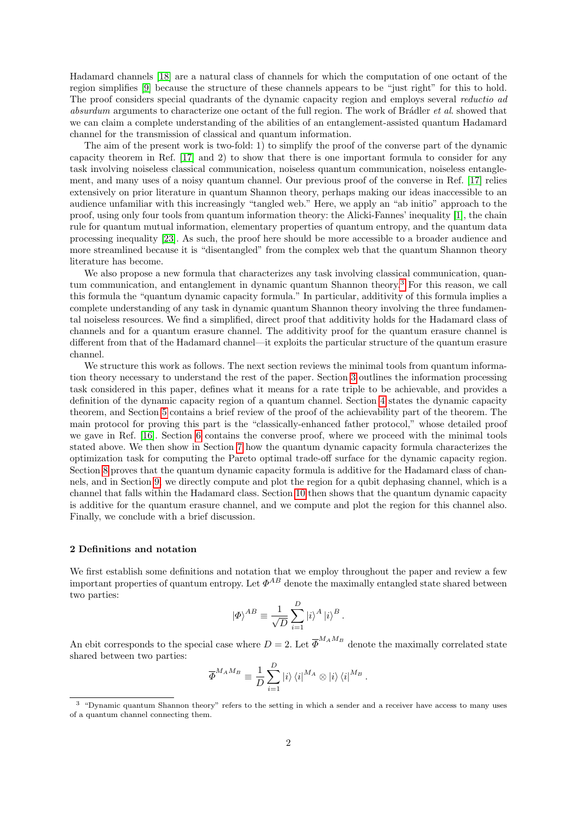Hadamard channels [\[18\]](#page-24-3) are a natural class of channels for which the computation of one octant of the region simplifies [\[9\]](#page-23-1) because the structure of these channels appears to be "just right" for this to hold. The proof considers special quadrants of the dynamic capacity region and employs several reductio ad absurdum arguments to characterize one octant of the full region. The work of Brádler  $et \ al.$  showed that we can claim a complete understanding of the abilities of an entanglement-assisted quantum Hadamard channel for the transmission of classical and quantum information.

The aim of the present work is two-fold: 1) to simplify the proof of the converse part of the dynamic capacity theorem in Ref. [\[17\]](#page-24-1) and 2) to show that there is one important formula to consider for any task involving noiseless classical communication, noiseless quantum communication, noiseless entanglement, and many uses of a noisy quantum channel. Our previous proof of the converse in Ref. [\[17\]](#page-24-1) relies extensively on prior literature in quantum Shannon theory, perhaps making our ideas inaccessible to an audience unfamiliar with this increasingly "tangled web." Here, we apply an "ab initio" approach to the proof, using only four tools from quantum information theory: the Alicki-Fannes' inequality [\[1\]](#page-23-2), the chain rule for quantum mutual information, elementary properties of quantum entropy, and the quantum data processing inequality [\[23\]](#page-24-4). As such, the proof here should be more accessible to a broader audience and more streamlined because it is "disentangled" from the complex web that the quantum Shannon theory literature has become.

We also propose a new formula that characterizes any task involving classical communication, quantum communication, and entanglement in dynamic quantum Shannon theory.[3](#page-2-0) For this reason, we call this formula the "quantum dynamic capacity formula." In particular, additivity of this formula implies a complete understanding of any task in dynamic quantum Shannon theory involving the three fundamental noiseless resources. We find a simplified, direct proof that additivity holds for the Hadamard class of channels and for a quantum erasure channel. The additivity proof for the quantum erasure channel is different from that of the Hadamard channel—it exploits the particular structure of the quantum erasure channel.

We structure this work as follows. The next section reviews the minimal tools from quantum information theory necessary to understand the rest of the paper. Section [3](#page-4-0) outlines the information processing task considered in this paper, defines what it means for a rate triple to be achievable, and provides a definition of the dynamic capacity region of a quantum channel. Section [4](#page-6-0) states the dynamic capacity theorem, and Section [5](#page-7-0) contains a brief review of the proof of the achievability part of the theorem. The main protocol for proving this part is the "classically-enhanced father protocol," whose detailed proof we gave in Ref. [\[16\]](#page-24-0). Section [6](#page-8-0) contains the converse proof, where we proceed with the minimal tools stated above. We then show in Section [7](#page-11-0) how the quantum dynamic capacity formula characterizes the optimization task for computing the Pareto optimal trade-off surface for the dynamic capacity region. Section [8](#page-15-0) proves that the quantum dynamic capacity formula is additive for the Hadamard class of channels, and in Section [9,](#page-16-0) we directly compute and plot the region for a qubit dephasing channel, which is a channel that falls within the Hadamard class. Section [10](#page-18-0) then shows that the quantum dynamic capacity is additive for the quantum erasure channel, and we compute and plot the region for this channel also. Finally, we conclude with a brief discussion.

# 2 Definitions and notation

We first establish some definitions and notation that we employ throughout the paper and review a few important properties of quantum entropy. Let  $\Phi^{AB}$  denote the maximally entangled state shared between two parties:

$$
\ket{\Phi}^{AB} \equiv \frac{1}{\sqrt{D}} \sum_{i=1}^D \ket{i}^A \ket{i}^B.
$$

An ebit corresponds to the special case where  $D=2$ . Let  $\overline{\Phi}^{M_A M_B}$  denote the maximally correlated state shared between two parties:

$$
\overline{\Phi}^{M_A M_B} \equiv \frac{1}{D} \sum_{i=1}^D \ket{i} \bra{i}^{M_A} \otimes \ket{i} \bra{i}^{M_B}.
$$

<span id="page-2-0"></span><sup>&</sup>lt;sup>3</sup> "Dynamic quantum Shannon theory" refers to the setting in which a sender and a receiver have access to many uses of a quantum channel connecting them.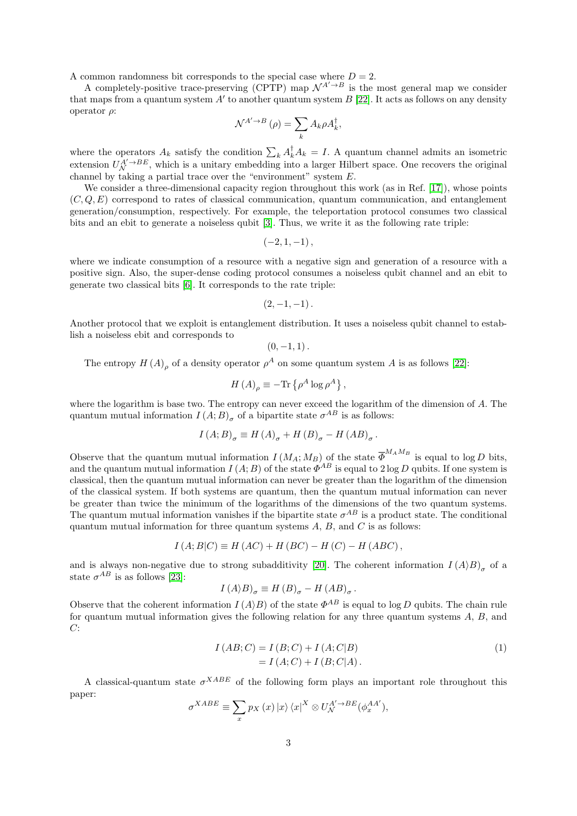A common randomness bit corresponds to the special case where  $D = 2$ .

A completely-positive trace-preserving (CPTP) map  $\mathcal{N}^{A' \to B}$  is the most general map we consider that maps from a quantum system  $A'$  to another quantum system  $B$  [\[22\]](#page-24-5). It acts as follows on any density operator ρ:

$$
\mathcal{N}^{A^{\prime}\rightarrow B}\left( \rho\right) =\sum_{k}A_{k}\rho A_{k}^{\dagger},
$$

where the operators  $A_k$  satisfy the condition  $\sum_k A_k^{\dagger} A_k = I$ . A quantum channel admits an isometric extension  $U_N^{A' \to BE}$ , which is a unitary embedding into a larger Hilbert space. One recovers the original channel by taking a partial trace over the "environment" system E.

We consider a three-dimensional capacity region throughout this work (as in Ref. [\[17\]](#page-24-1)), whose points  $(C, Q, E)$  correspond to rates of classical communication, quantum communication, and entanglement generation/consumption, respectively. For example, the teleportation protocol consumes two classical bits and an ebit to generate a noiseless qubit [\[3\]](#page-23-3). Thus, we write it as the following rate triple:

$$
\left( -2,1,-1\right) ,
$$

where we indicate consumption of a resource with a negative sign and generation of a resource with a positive sign. Also, the super-dense coding protocol consumes a noiseless qubit channel and an ebit to generate two classical bits [\[6\]](#page-23-4). It corresponds to the rate triple:

$$
(2,-1,-1).
$$

Another protocol that we exploit is entanglement distribution. It uses a noiseless qubit channel to establish a noiseless ebit and corresponds to

$$
(0,-1,1).
$$

The entropy  $H(A)$ <sub>ρ</sub> of a density operator  $\rho^A$  on some quantum system A is as follows [\[22\]](#page-24-5):

$$
H\left( A\right) _{\rho}\equiv-\text{Tr}\left\{ \rho^{A}\log\rho^{A}\right\} ,
$$

where the logarithm is base two. The entropy can never exceed the logarithm of the dimension of A. The quantum mutual information  $I(A;B)_{\sigma}$  of a bipartite state  $\sigma^{AB}$  is as follows:

$$
I(A;B)_{\sigma} \equiv H(A)_{\sigma} + H(B)_{\sigma} - H(AB)_{\sigma}.
$$

Observe that the quantum mutual information  $I(M_A; M_B)$  of the state  $\overline{\Phi}^{M_A M_B}$  is equal to log D bits, and the quantum mutual information  $I(A;B)$  of the state  $\Phi^{AB}$  is equal to  $2 \log D$  qubits. If one system is classical, then the quantum mutual information can never be greater than the logarithm of the dimension of the classical system. If both systems are quantum, then the quantum mutual information can never be greater than twice the minimum of the logarithms of the dimensions of the two quantum systems. The quantum mutual information vanishes if the bipartite state  $\sigma^{AB}$  is a product state. The conditional quantum mutual information for three quantum systems  $A, B$ , and  $C$  is as follows:

$$
I(A;B|C) \equiv H(AC) + H(BC) - H(C) - H(ABC),
$$

and is always non-negative due to strong subadditivity [\[20\]](#page-24-6). The coherent information  $I(A \rangle B)_{\sigma}$  of a state  $\sigma^{AB}$  is as follows [\[23\]](#page-24-4):

<span id="page-3-0"></span>
$$
I(A\rangle B)_{\sigma} \equiv H(B)_{\sigma} - H(AB)_{\sigma}.
$$

Observe that the coherent information  $I(A \mid B)$  of the state  $\Phi^{AB}$  is equal to log D qubits. The chain rule for quantum mutual information gives the following relation for any three quantum systems  $A, B$ , and  $C:$ 

$$
I(AB;C) = I(B;C) + I(A;C|B)
$$
  
= I(A;C) + I(B;C|A). (1)

A classical-quantum state  $\sigma^{XABE}$  of the following form plays an important role throughout this paper:

$$
\sigma^{XABE} \equiv \sum_{x} p_X(x) \left| x \right\rangle \left\langle x \right|^X \otimes U^{A' \to BE}_{\mathcal{N}}(\phi^{AA'}_x),
$$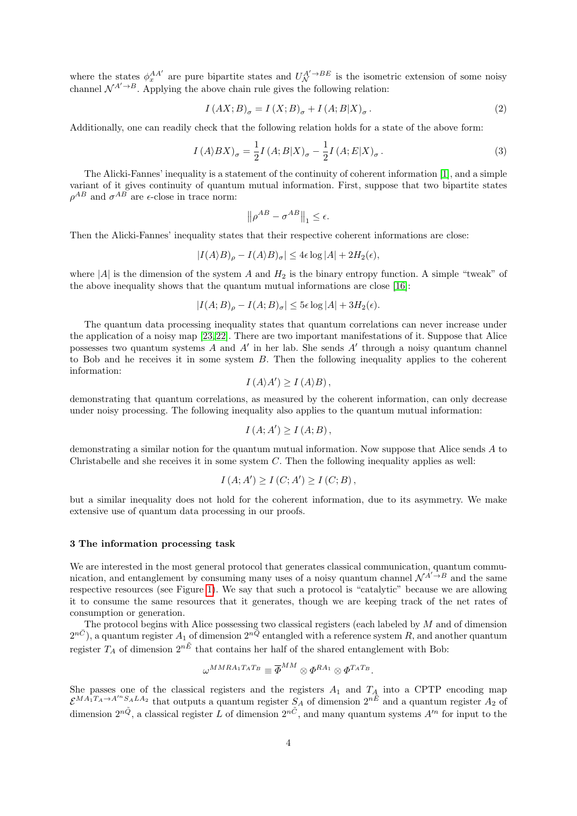where the states  $\phi_x^{AA'}$  are pure bipartite states and  $U_N^{A' \to BE}$  is the isometric extension of some noisy channel  $\mathcal{N}^{A' \rightarrow B}$ . Applying the above chain rule gives the following relation:

<span id="page-4-1"></span>
$$
I\left(AX;B\right)_{\sigma} = I\left(X;B\right)_{\sigma} + I\left(A;B|X\right)_{\sigma}.
$$
\n<sup>(2)</sup>

Additionally, one can readily check that the following relation holds for a state of the above form:

<span id="page-4-2"></span>
$$
I(A\rangle BX)_{\sigma} = \frac{1}{2}I(A;B|X)_{\sigma} - \frac{1}{2}I(A;E|X)_{\sigma}.
$$
\n(3)

The Alicki-Fannes' inequality is a statement of the continuity of coherent information [\[1\]](#page-23-2), and a simple variant of it gives continuity of quantum mutual information. First, suppose that two bipartite states  $\rho^{AB}$  and  $\sigma^{AB}$  are  $\epsilon$ -close in trace norm:

$$
\left\| \rho^{AB} - \sigma^{AB} \right\|_1 \le \epsilon.
$$

Then the Alicki-Fannes' inequality states that their respective coherent informations are close:

$$
|I(A\rangle B)_{\rho} - I(A\rangle B)_{\sigma}| \leq 4\epsilon \log|A| + 2H_2(\epsilon),
$$

where  $|A|$  is the dimension of the system A and  $H_2$  is the binary entropy function. A simple "tweak" of the above inequality shows that the quantum mutual informations are close [\[16\]](#page-24-0):

$$
|I(A;B)_{\rho} - I(A;B)_{\sigma}| \leq 5\epsilon \log |A| + 3H_2(\epsilon).
$$

The quantum data processing inequality states that quantum correlations can never increase under the application of a noisy map [\[23,](#page-24-4) [22\]](#page-24-5). There are two important manifestations of it. Suppose that Alice possesses two quantum systems  $A$  and  $A'$  in her lab. She sends  $A'$  through a noisy quantum channel to Bob and he receives it in some system B. Then the following inequality applies to the coherent information:

$$
I(A \rangle A') \ge I(A \rangle B),
$$

demonstrating that quantum correlations, as measured by the coherent information, can only decrease under noisy processing. The following inequality also applies to the quantum mutual information:

$$
I(A;A') \ge I(A;B),
$$

demonstrating a similar notion for the quantum mutual information. Now suppose that Alice sends A to Christabelle and she receives it in some system  $C$ . Then the following inequality applies as well:

$$
I(A; A') \ge I(C; A') \ge I(C; B),
$$

but a similar inequality does not hold for the coherent information, due to its asymmetry. We make extensive use of quantum data processing in our proofs.

# <span id="page-4-0"></span>3 The information processing task

We are interested in the most general protocol that generates classical communication, quantum communication, and entanglement by consuming many uses of a noisy quantum channel  $\mathcal{N}^{A' \rightarrow B}$  and the same respective resources (see Figure [1\)](#page-5-0). We say that such a protocol is "catalytic" because we are allowing it to consume the same resources that it generates, though we are keeping track of the net rates of consumption or generation.

The protocol begins with Alice possessing two classical registers (each labeled by  $M$  and of dimension  $(2^{n\bar{C}})$ , a quantum register  $A_1$  of dimension  $2^{n\bar{Q}}$  entangled with a reference system R, and another quantum register  $T_A$  of dimension  $2^{n\tilde{E}}$  that contains her half of the shared entanglement with Bob:

$$
\omega^{MMRA_1T_AT_B} \equiv \overline{\Phi}^{MM} \otimes \Phi^{RA_1} \otimes \Phi^{T_AT_B}.
$$

She passes one of the classical registers and the registers  $A_1$  and  $T_A$  into a CPTP encoding map  $\mathcal{E}^{MA_1T_A \rightarrow A'^n S_A LA_2}$  that outputs a quantum register  $\sum_{\alpha=1}^{\infty}$  of dimension  $2^{n\hat{E}}$  and a quantum register  $A_2$  of dimension  $2^{n\tilde{Q}}$ , a classical register L of dimension  $2^{n\tilde{C}}$ , and many quantum systems  $A'^n$  for input to the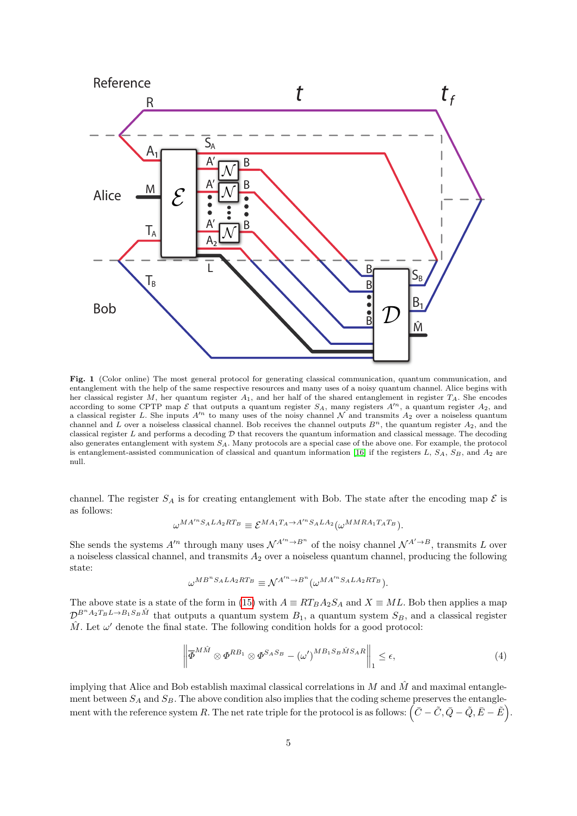

<span id="page-5-0"></span>Fig. 1 (Color online) The most general protocol for generating classical communication, quantum communication, and entanglement with the help of the same respective resources and many uses of a noisy quantum channel. Alice begins with her classical register M, her quantum register  $A_1$ , and her half of the shared entanglement in register  $T_A$ . She encodes according to some CPTP map  $\mathcal E$  that outputs a quantum register  $S_A$ , many registers  $A'^n$ , a quantum register  $A_2$ , and a classical register L. She inputs  $A'^n$  to many uses of the noisy channel N and transmits  $A_2$  over a noiseless quantum channel and L over a noiseless classical channel. Bob receives the channel outputs  $B<sup>n</sup>$ , the quantum register  $A<sub>2</sub>$ , and the classical register  $L$  and performs a decoding  $D$  that recovers the quantum information and classical message. The decoding also generates entanglement with system  $S_A$ . Many protocols are a special case of the above one. For example, the protocol is entanglement-assisted communication of classical and quantum information [\[16\]](#page-24-0) if the registers L,  $S_A$ ,  $S_B$ , and  $A_2$  are null.

channel. The register  $S_A$  is for creating entanglement with Bob. The state after the encoding map  $\mathcal E$  is as follows:

$$
\omega^{MA^{\prime n}S_ALA_2RT_B} \equiv \mathcal{E}^{MA_1T_A \rightarrow A^{\prime n}S_ALA_2}(\omega^{MMRA_1T_AT_B}).
$$

She sends the systems  $A'^n$  through many uses  $\mathcal{N}^{A'^n \to B^n}$  of the noisy channel  $\mathcal{N}^{A' \to B}$ , transmits L over a noiseless classical channel, and transmits  $A_2$  over a noiseless quantum channel, producing the following state:

$$
\omega^{MB^n S_A LA_2 RT_B} \equiv \mathcal{N}^{A'^n \to B^n} (\omega^{MA'^n S_A LA_2 RT_B}).
$$

The above state is a state of the form in [\(15\)](#page-8-1) with  $A = RT_BA_2S_A$  and  $X \equiv ML$ . Bob then applies a map  $\mathcal{D}^{B^{n}A_{2}T_{B}L\rightarrow B_{1}S_{B}\hat{M}}$  that outputs a quantum system  $B_{1}$ , a quantum system  $S_{B}$ , and a classical register  $\hat{M}$ . Let  $\omega'$  denote the final state. The following condition holds for a good protocol:

<span id="page-5-1"></span>
$$
\left\| \overline{\varPhi}^{M\hat{M}} \otimes \varPhi^{RB_1} \otimes \varPhi^{S_A S_B} - (\omega')^{MB_1 S_B \hat{M} S_A R} \right\|_1 \le \epsilon,
$$
\n(4)

implying that Alice and Bob establish maximal classical correlations in M and  $\tilde{M}$  and maximal entanglement between  $S_A$  and  $S_B$ . The above condition also implies that the coding scheme preserves the entanglement with the reference system R. The net rate triple for the protocol is as follows:  $\left(\bar{C}-\tilde{C},\bar{Q}-\tilde{Q},\bar{E}-\tilde{E}\right)$ .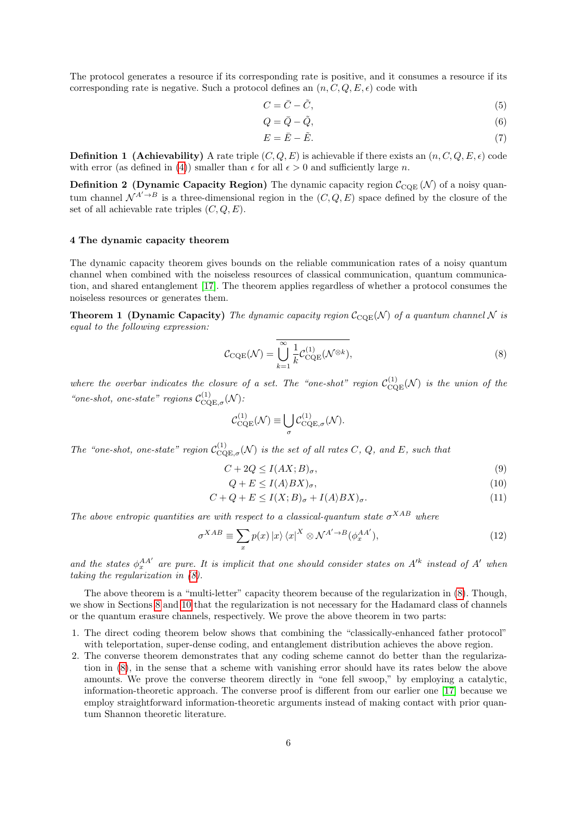The protocol generates a resource if its corresponding rate is positive, and it consumes a resource if its corresponding rate is negative. Such a protocol defines an  $(n, C, Q, E, \epsilon)$  code with

$$
C = \bar{C} - \tilde{C},\tag{5}
$$

$$
Q = \bar{Q} - \tilde{Q},\tag{6}
$$

$$
E = \bar{E} - \tilde{E}.\tag{7}
$$

**Definition 1 (Achievability)** A rate triple  $(C, Q, E)$  is achievable if there exists an  $(n, C, Q, E, \epsilon)$  code with error (as defined in [\(4\)](#page-5-1)) smaller than  $\epsilon$  for all  $\epsilon > 0$  and sufficiently large n.

**Definition 2 (Dynamic Capacity Region)** The dynamic capacity region  $C_{CQE}(\mathcal{N})$  of a noisy quantum channel  $\mathcal{N}^{A' \to B}$  is a three-dimensional region in the  $(C, Q, E)$  space defined by the closure of the set of all achievable rate triples  $(C, Q, E)$ .

# <span id="page-6-0"></span>4 The dynamic capacity theorem

The dynamic capacity theorem gives bounds on the reliable communication rates of a noisy quantum channel when combined with the noiseless resources of classical communication, quantum communication, and shared entanglement [\[17\]](#page-24-1). The theorem applies regardless of whether a protocol consumes the noiseless resources or generates them.

<span id="page-6-4"></span>**Theorem 1 (Dynamic Capacity)** The dynamic capacity region  $C_{COE}(\mathcal{N})$  of a quantum channel N is equal to the following expression:

<span id="page-6-1"></span>
$$
C_{\rm CQE}(\mathcal{N}) = \overline{\bigcup_{k=1}^{\infty} \frac{1}{k} C_{\rm CQE}^{(1)}(\mathcal{N}^{\otimes k})},
$$
\n(8)

where the overbar indicates the closure of a set. The "one-shot" region  $C^{(1)}_{CQE}(\mathcal{N})$  is the union of the "one-shot, one-state" regions  $\mathcal{C}^{(1)}_{\text{CQE},\sigma}(\mathcal{N})$ :

<span id="page-6-2"></span>
$$
\mathcal{C}_{\mathrm{CQE}}^{(1)}(\mathcal{N}) \equiv \bigcup_{\sigma} \mathcal{C}_{\mathrm{CQE},\sigma}^{(1)}(\mathcal{N}).
$$

The "one-shot, one-state" region  $C^{(1)}_{\text{CQE},\sigma}(\mathcal{N})$  is the set of all rates C, Q, and E, such that

$$
C + 2Q \le I(AX; B)_{\sigma},\tag{9}
$$

<span id="page-6-5"></span><span id="page-6-3"></span>
$$
Q + E \le I(A \rangle BX)_{\sigma},\tag{10}
$$

$$
C + Q + E \le I(X; B)_{\sigma} + I(A \rangle BX)_{\sigma}.
$$
\n(11)

The above entropic quantities are with respect to a classical-quantum state  $\sigma^{XAB}$  where

<span id="page-6-6"></span>
$$
\sigma^{XAB} \equiv \sum_{x} p(x) \left| x \right\rangle \left\langle x \right|^{X} \otimes \mathcal{N}^{A^{\prime} \to B}(\phi_{x}^{AA^{\prime}}), \tag{12}
$$

and the states  $\phi_x^{AA'}$  are pure. It is implicit that one should consider states on  $A'^k$  instead of  $A'$  when taking the regularization in [\(8\)](#page-6-1).

The above theorem is a "multi-letter" capacity theorem because of the regularization in [\(8\)](#page-6-1). Though, we show in Sections [8](#page-15-0) and [10](#page-18-0) that the regularization is not necessary for the Hadamard class of channels or the quantum erasure channels, respectively. We prove the above theorem in two parts:

- 1. The direct coding theorem below shows that combining the "classically-enhanced father protocol" with teleportation, super-dense coding, and entanglement distribution achieves the above region.
- 2. The converse theorem demonstrates that any coding scheme cannot do better than the regularization in [\(8\)](#page-6-1), in the sense that a scheme with vanishing error should have its rates below the above amounts. We prove the converse theorem directly in "one fell swoop," by employing a catalytic, information-theoretic approach. The converse proof is different from our earlier one [\[17\]](#page-24-1) because we employ straightforward information-theoretic arguments instead of making contact with prior quantum Shannon theoretic literature.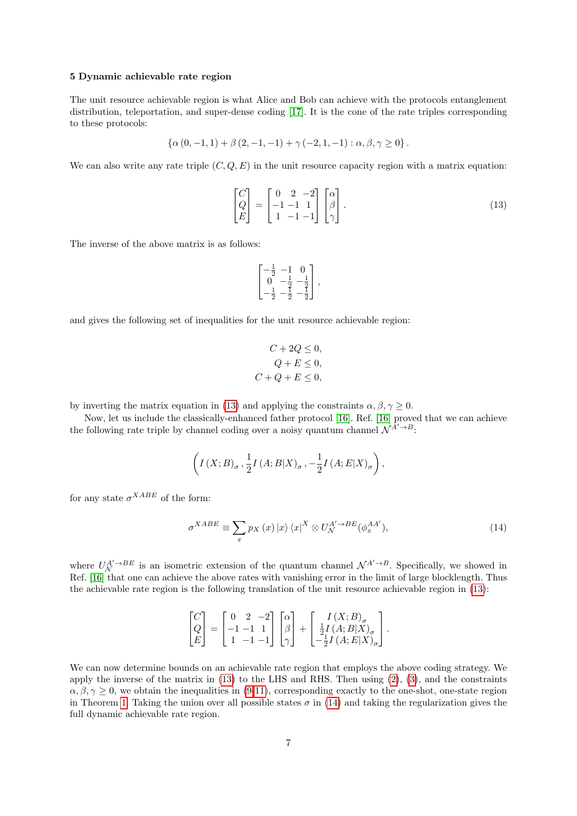# <span id="page-7-0"></span>5 Dynamic achievable rate region

The unit resource achievable region is what Alice and Bob can achieve with the protocols entanglement distribution, teleportation, and super-dense coding [\[17\]](#page-24-1). It is the cone of the rate triples corresponding to these protocols:

$$
\{\alpha (0,-1,1)+\beta (2,-1,-1)+\gamma \left( -2,1,-1\right) : \alpha ,\beta ,\gamma \geq 0\}.
$$

We can also write any rate triple  $(C, Q, E)$  in the unit resource capacity region with a matrix equation:

<span id="page-7-1"></span>
$$
\begin{bmatrix} C \\ Q \\ E \end{bmatrix} = \begin{bmatrix} 0 & 2 & -2 \\ -1 & -1 & 1 \\ 1 & -1 & -1 \end{bmatrix} \begin{bmatrix} \alpha \\ \beta \\ \gamma \end{bmatrix}.
$$
 (13)

The inverse of the above matrix is as follows:

$$
\begin{bmatrix} -\frac{1}{2} & -1 & 0 \\ 0 & -\frac{1}{2} & -\frac{1}{2} \\ -\frac{1}{2} & -\frac{1}{2} & -\frac{1}{2} \end{bmatrix},
$$

and gives the following set of inequalities for the unit resource achievable region:

$$
C + 2Q \le 0,
$$
  
\n
$$
Q + E \le 0,
$$
  
\n
$$
C + Q + E \le 0,
$$

by inverting the matrix equation in [\(13\)](#page-7-1) and applying the constraints  $\alpha, \beta, \gamma > 0$ .

Now, let us include the classically-enhanced father protocol [\[16\]](#page-24-0). Ref. [\[16\]](#page-24-0) proved that we can achieve the following rate triple by channel coding over a noisy quantum channel  $\mathcal{N}^{\tilde{A}' \to B}$ :

$$
\left(I\left(X;B\right)_{\sigma},\frac{1}{2}I\left(A;B|X\right)_{\sigma},-\frac{1}{2}I\left(A;E|X\right)_{\sigma}\right),
$$

for any state  $\sigma^{XABE}$  of the form:

<span id="page-7-2"></span>
$$
\sigma^{XABE} \equiv \sum_{x} p_X(x) \left| x \right\rangle \left\langle x \right|^X \otimes U_{\mathcal{N}}^{A' \to BE}(\phi_x^{AA'}),\tag{14}
$$

where  $U_N^{A' \to BE}$  is an isometric extension of the quantum channel  $\mathcal{N}^{A' \to B}$ . Specifically, we showed in Ref. [\[16\]](#page-24-0) that one can achieve the above rates with vanishing error in the limit of large blocklength. Thus the achievable rate region is the following translation of the unit resource achievable region in [\(13\)](#page-7-1):

$$
\begin{bmatrix} C \\ Q \\ E \end{bmatrix} = \begin{bmatrix} 0 & 2 & -2 \\ -1 & -1 & 1 \\ 1 & -1 & -1 \end{bmatrix} \begin{bmatrix} \alpha \\ \beta \\ \gamma \end{bmatrix} + \begin{bmatrix} I(X;B)_{\sigma} \\ \frac{1}{2}I(A;B|X)_{\sigma} \\ -\frac{1}{2}I(A;E|X)_{\sigma} \end{bmatrix}.
$$

We can now determine bounds on an achievable rate region that employs the above coding strategy. We apply the inverse of the matrix in [\(13\)](#page-7-1) to the LHS and RHS. Then using [\(2\)](#page-4-1), [\(3\)](#page-4-2), and the constraints  $\alpha, \beta, \gamma \geq 0$ , we obtain the inequalities in [\(9-](#page-6-2)[11\)](#page-6-3), corresponding exactly to the one-shot, one-state region in Theorem [1.](#page-6-4) Taking the union over all possible states  $\sigma$  in [\(14\)](#page-7-2) and taking the regularization gives the full dynamic achievable rate region.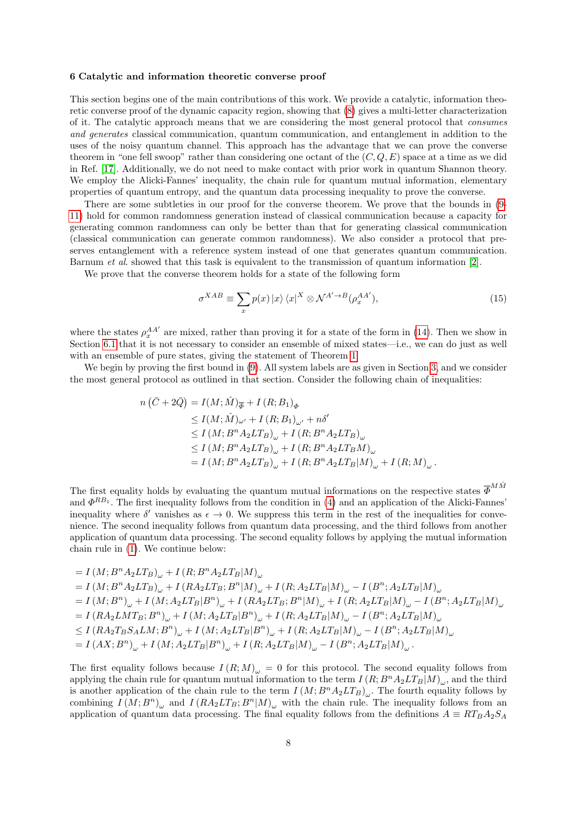# <span id="page-8-0"></span>6 Catalytic and information theoretic converse proof

This section begins one of the main contributions of this work. We provide a catalytic, information theoretic converse proof of the dynamic capacity region, showing that [\(8\)](#page-6-1) gives a multi-letter characterization of it. The catalytic approach means that we are considering the most general protocol that consumes and generates classical communication, quantum communication, and entanglement in addition to the uses of the noisy quantum channel. This approach has the advantage that we can prove the converse theorem in "one fell swoop" rather than considering one octant of the  $(C, Q, E)$  space at a time as we did in Ref. [\[17\]](#page-24-1). Additionally, we do not need to make contact with prior work in quantum Shannon theory. We employ the Alicki-Fannes' inequality, the chain rule for quantum mutual information, elementary properties of quantum entropy, and the quantum data processing inequality to prove the converse.

There are some subtleties in our proof for the converse theorem. We prove that the bounds in  $(9-$ [11\)](#page-6-3) hold for common randomness generation instead of classical communication because a capacity for generating common randomness can only be better than that for generating classical communication (classical communication can generate common randomness). We also consider a protocol that preserves entanglement with a reference system instead of one that generates quantum communication. Barnum et al. showed that this task is equivalent to the transmission of quantum information [\[2\]](#page-23-5).

We prove that the converse theorem holds for a state of the following form

<span id="page-8-1"></span>
$$
\sigma^{XAB} \equiv \sum_{x} p(x) |x\rangle \langle x|^X \otimes \mathcal{N}^{A' \to B}(\rho_x^{AA'}), \tag{15}
$$

where the states  $\rho_x^{AA'}$  are mixed, rather than proving it for a state of the form in [\(14\)](#page-7-2). Then we show in Section [6.1](#page-10-0) that it is not necessary to consider an ensemble of mixed states—i.e., we can do just as well with an ensemble of pure states, giving the statement of Theorem [1.](#page-6-4)

We begin by proving the first bound in  $(9)$ . All system labels are as given in Section [3,](#page-4-0) and we consider the most general protocol as outlined in that section. Consider the following chain of inequalities:

$$
n\left(\bar{C} + 2\bar{Q}\right) = I(M; \hat{M})_{\overline{\Phi}} + I(R; B_1)_{\Phi}
$$
  
\n
$$
\leq I(M; \hat{M})_{\omega'} + I(R; B_1)_{\omega'} + n\delta'
$$
  
\n
$$
\leq I(M; B^n A_2 L T_B)_{\omega} + I(R; B^n A_2 L T_B)_{\omega}
$$
  
\n
$$
\leq I(M; B^n A_2 L T_B)_{\omega} + I(R; B^n A_2 L T_B M)_{\omega}
$$
  
\n
$$
= I(M; B^n A_2 L T_B)_{\omega} + I(R; B^n A_2 L T_B |M)_{\omega} + I(R; M)_{\omega}.
$$

The first equality holds by evaluating the quantum mutual informations on the respective states  $\bar{\phi}^{M\hat{M}}$ and  $\Phi^{RB_1}$ . The first inequality follows from the condition in [\(4\)](#page-5-1) and an application of the Alicki-Fannes' inequality where  $\delta'$  vanishes as  $\epsilon \to 0$ . We suppress this term in the rest of the inequalities for convenience. The second inequality follows from quantum data processing, and the third follows from another application of quantum data processing. The second equality follows by applying the mutual information chain rule in [\(1\)](#page-3-0). We continue below:

$$
= I (M; B^n A_2 L T_B)_{\omega} + I (R; B^n A_2 L T_B | M)_{\omega}
$$
  
\n
$$
= I (M; B^n A_2 L T_B)_{\omega} + I (R A_2 L T_B; B^n | M)_{\omega} + I (R; A_2 L T_B | M)_{\omega} - I (B^n; A_2 L T_B | M)_{\omega}
$$
  
\n
$$
= I (M; B^n)_{\omega} + I (M; A_2 L T_B | B^n)_{\omega} + I (R A_2 L T_B; B^n | M)_{\omega} + I (R; A_2 L T_B | M)_{\omega} - I (B^n; A_2 L T_B | M)_{\omega}
$$
  
\n
$$
= I (R A_2 L M T_B; B^n)_{\omega} + I (M; A_2 L T_B | B^n)_{\omega} + I (R; A_2 L T_B | M)_{\omega} - I (B^n; A_2 L T_B | M)_{\omega}
$$
  
\n
$$
\leq I (R A_2 T_B S_A L M; B^n)_{\omega} + I (M; A_2 L T_B | B^n)_{\omega} + I (R; A_2 L T_B | M)_{\omega} - I (B^n; A_2 L T_B | M)_{\omega}
$$
  
\n
$$
= I (A X; B^n)_{\omega} + I (M; A_2 L T_B | B^n)_{\omega} + I (R; A_2 L T_B | M)_{\omega} - I (B^n; A_2 L T_B | M)_{\omega}.
$$

The first equality follows because  $I(R;M)_{\omega}=0$  for this protocol. The second equality follows from applying the chain rule for quantum mutual information to the term  $I(R; B^n A_2 L T_B|M)_{\omega}$ , and the third is another application of the chain rule to the term  $I(M; B<sup>n</sup>A<sub>2</sub>LT<sub>B</sub>)<sub>\omega</sub>$ . The fourth equality follows by combining  $I(M; B^n)_{\omega}$  and  $I(RA_2LT_B; B^n|M)_{\omega}$  with the chain rule. The inequality follows from an application of quantum data processing. The final equality follows from the definitions  $A \equiv RT_BA_2S_A$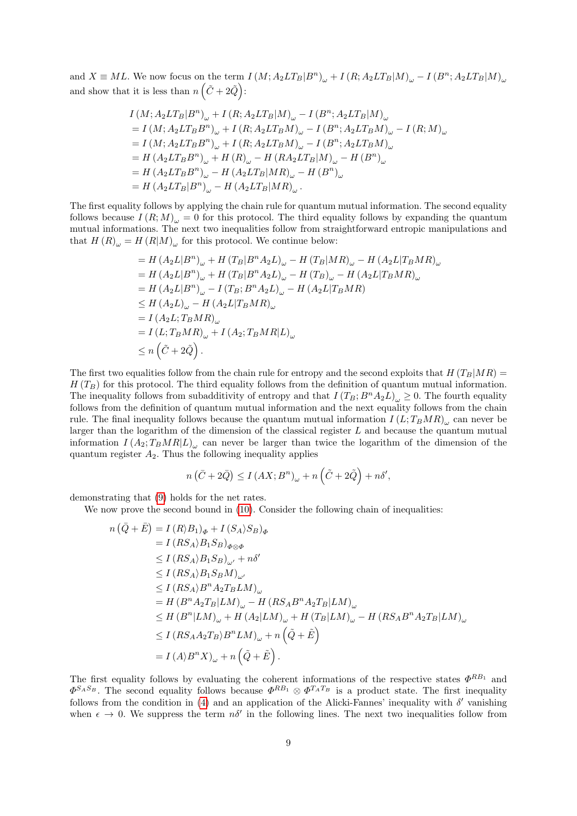and  $X \equiv ML$ . We now focus on the term  $I(M; A_2LT_B|B^n)_{\omega} + I(R; A_2LT_B|M)_{\omega} - I(B^n; A_2LT_B|M)_{\omega}$ and show that it is less than  $n(\tilde{C}+2\tilde{Q})$ :

$$
\begin{split} &I\left(M;A_2LT_B|B^n\right)_{\omega}+I\left(R;A_2LT_B|M\right)_{\omega}-I\left(B^n;A_2LT_B|M\right)_{\omega} \\ &=I\left(M;A_2LT_BB^n\right)_{\omega}+I\left(R;A_2LT_BM\right)_{\omega}-I\left(B^n;A_2LT_BM\right)_{\omega}-I\left(R;M\right)_{\omega} \\ &=I\left(M;A_2LT_BB^n\right)_{\omega}+I\left(R;A_2LT_BM\right)_{\omega}-I\left(B^n;A_2LT_BM\right)_{\omega} \\ &=H\left(A_2LT_BB^n\right)_{\omega}+H\left(R\right)_{\omega}-H\left(RA_2LT_B|M\right)_{\omega}-H\left(B^n\right)_{\omega} \\ &=H\left(A_2LT_BB^n\right)_{\omega}-H\left(A_2LT_B|MR\right)_{\omega}-H\left(B^n\right)_{\omega} \\ &=H\left(A_2LT_B|B^n\right)_{\omega}-H\left(A_2LT_B|MR\right)_{\omega}. \end{split}
$$

The first equality follows by applying the chain rule for quantum mutual information. The second equality follows because  $I(R;M)_{\omega}=0$  for this protocol. The third equality follows by expanding the quantum mutual informations. The next two inequalities follow from straightforward entropic manipulations and that  $H(R)_{\omega} = H(R|M)_{\omega}$  for this protocol. We continue below:

$$
= H (A_2L|B^n)_{\omega} + H (T_B|B^n A_2 L)_{\omega} - H (T_B|MR)_{\omega} - H (A_2L|T_BMR)_{\omega}
$$
  
\n
$$
= H (A_2L|B^n)_{\omega} + H (T_B|B^n A_2 L)_{\omega} - H (T_B)_{\omega} - H (A_2L|T_BMR)_{\omega}
$$
  
\n
$$
= H (A_2L|B^n)_{\omega} - I (T_B; B^n A_2 L)_{\omega} - H (A_2L|T_BMR)
$$
  
\n
$$
\leq H (A_2L)_{\omega} - H (A_2L|T_BMR)_{\omega}
$$
  
\n
$$
= I (A_2L; T_BMR)_{\omega}
$$
  
\n
$$
= I (L; T_BMR)_{\omega} + I (A_2; T_BMR|L)_{\omega}
$$
  
\n
$$
\leq n (\tilde{C} + 2\tilde{Q}).
$$

The first two equalities follow from the chain rule for entropy and the second exploits that  $H(T_B|MR)$  $H(T_B)$  for this protocol. The third equality follows from the definition of quantum mutual information. The inequality follows from subadditivity of entropy and that  $I(T_B; B^n A_2 L)_{\omega} \geq 0$ . The fourth equality follows from the definition of quantum mutual information and the next equality follows from the chain rule. The final inequality follows because the quantum mutual information  $I(L;T_BMR)_{\omega}$  can never be larger than the logarithm of the dimension of the classical register L and because the quantum mutual information  $I(A_2;T_BMR|L)_{\omega}$  can never be larger than twice the logarithm of the dimension of the quantum register  $A_2$ . Thus the following inequality applies

$$
n\left(\bar{C} + 2\bar{Q}\right) \le I\left(AX; B^{n}\right)_{\omega} + n\left(\tilde{C} + 2\tilde{Q}\right) + n\delta',
$$

demonstrating that [\(9\)](#page-6-2) holds for the net rates.

We now prove the second bound in  $(10)$ . Consider the following chain of inequalities:

$$
n\left(\bar{Q} + \bar{E}\right) = I\left(R\right)B_{1}\right)_{\Phi} + I\left(S_{A}\right)S_{B}\right)_{\Phi}
$$
  
\n
$$
= I\left(RS_{A}\right)B_{1}S_{B}\right)_{\Phi\otimes\Phi}
$$
  
\n
$$
\leq I\left(RS_{A}\right)B_{1}S_{B}\right)_{\omega'} + n\delta'
$$
  
\n
$$
\leq I\left(RS_{A}\right)B_{1}S_{B}M\right)_{\omega'}
$$
  
\n
$$
\leq I\left(RS_{A}\right)B^{n}A_{2}T_{B}LM\right)_{\omega}
$$
  
\n
$$
= H\left(B^{n}A_{2}T_{B}\right|LM)_{\omega} - H\left(RS_{A}B^{n}A_{2}T_{B}\right|LM)_{\omega}
$$
  
\n
$$
\leq H\left(B^{n}\right|LM)_{\omega} + H\left(A_{2}\right|LM)_{\omega} + H\left(T_{B}\right|LM)_{\omega} - H\left(RS_{A}B^{n}A_{2}T_{B}\right|LM)_{\omega}
$$
  
\n
$$
\leq I\left(RS_{A}A_{2}T_{B}\right)B^{n}LM)_{\omega} + n\left(\tilde{Q} + \tilde{E}\right)
$$
  
\n
$$
= I\left(A\right)B^{n}X)_{\omega} + n\left(\tilde{Q} + \tilde{E}\right).
$$

The first equality follows by evaluating the coherent informations of the respective states  $\Phi^{RB_1}$  and  $\Phi^{SAS_B}$ . The second equality follows because  $\Phi^{RB_1} \otimes \Phi^{TAT_B}$  is a product state. The first inequality follows from the condition in [\(4\)](#page-5-1) and an application of the Alicki-Fannes' inequality with  $\delta'$  vanishing when  $\epsilon \to 0$ . We suppress the term  $n\delta'$  in the following lines. The next two inequalities follow from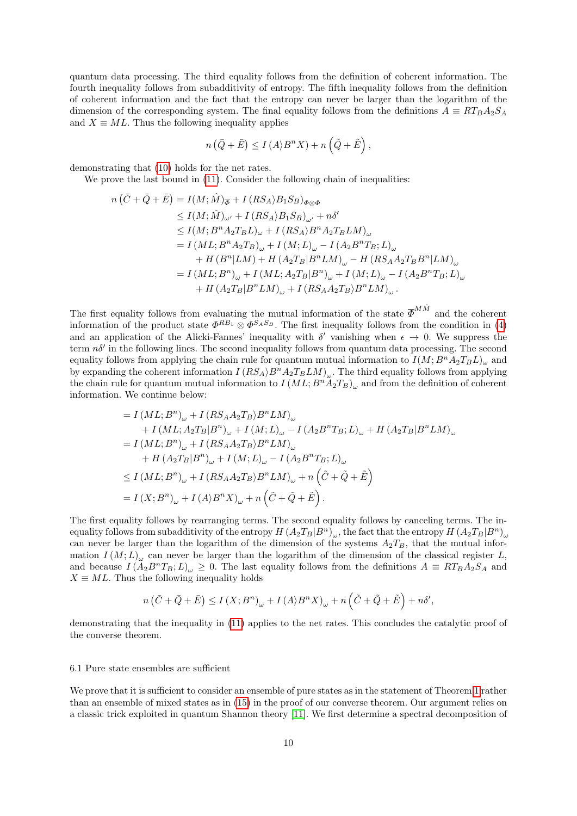quantum data processing. The third equality follows from the definition of coherent information. The fourth inequality follows from subadditivity of entropy. The fifth inequality follows from the definition of coherent information and the fact that the entropy can never be larger than the logarithm of the dimension of the corresponding system. The final equality follows from the definitions  $A = RT_BA_2S_A$ and  $X \equiv ML$ . Thus the following inequality applies

$$
n\left(\bar{Q} + \bar{E}\right) \le I\left(A\right)B^{n}X + n\left(\tilde{Q} + \tilde{E}\right),
$$

demonstrating that [\(10\)](#page-6-5) holds for the net rates.

We prove the last bound in  $(11)$ . Consider the following chain of inequalities:

$$
n\left(\bar{C}+\bar{Q}+\bar{E}\right) = I(M;\hat{M})_{\overline{\Phi}} + I\left(RS_A\right)B_1S_B)_{\Phi\otimes\Phi}
$$
  
\n
$$
\leq I(M;\hat{M})_{\omega'} + I\left(RS_A\right)B_1S_B\right)_{\omega'} + n\delta'
$$
  
\n
$$
\leq I(M;B^nA_2T_BL)_{\omega} + I\left(RS_A\right)B^nA_2T_BLM\right)_{\omega}
$$
  
\n
$$
= I\left(ML;B^nA_2T_B\right)_{\omega} + I\left(M;L\right)_{\omega} - I\left(A_2B^nT_B;L\right)_{\omega}
$$
  
\n
$$
+ H\left(B^n|LM\right) + H\left(A_2T_B|B^nLM\right)_{\omega} - H\left(RS_A A_2T_BB^n|LM\right)_{\omega}
$$
  
\n
$$
= I\left(ML;B^n\right)_{\omega} + I\left(ML;A_2T_B|B^n\right)_{\omega} + I\left(M;L\right)_{\omega} - I\left(A_2B^nT_B;L\right)_{\omega}
$$
  
\n
$$
+ H\left(A_2T_B|B^nLM\right)_{\omega} + I\left(RS_A A_2T_B\right)B^nLM\right)_{\omega}.
$$

The first equality follows from evaluating the mutual information of the state  $\bar{\phi}^{M\hat{M}}$  and the coherent information of the product state  $\Phi^{RB_1} \otimes \Phi^{S_A S_B}$ . The first inequality follows from the condition in [\(4\)](#page-5-1) and an application of the Alicki-Fannes' inequality with  $\delta'$  vanishing when  $\epsilon \to 0$ . We suppress the term  $n\delta'$  in the following lines. The second inequality follows from quantum data processing. The second equality follows from applying the chain rule for quantum mutual information to  $I(M; B<sup>n</sup>A<sub>2</sub>T<sub>B</sub>L)_{\omega}$  and by expanding the coherent information  $I (RS_A) B^n A_2 T_B LM)_{\omega}$ . The third equality follows from applying the chain rule for quantum mutual information to  $I(ML; B<sup>n</sup> A<sub>2</sub>T<sub>B</sub>)<sub>\omega</sub>$  and from the definition of coherent information. We continue below:

$$
= I\left(ML; B^{n}\right)_{\omega} + I\left(RS_{A}A_{2}T_{B}\right)B^{n}LM\right)_{\omega}
$$
  
+ 
$$
I\left(ML; A_{2}T_{B}|B^{n}\right)_{\omega} + I\left(M; L\right)_{\omega} - I\left(A_{2}B^{n}T_{B}; L\right)_{\omega} + H\left(A_{2}T_{B}|B^{n}LM\right)_{\omega}
$$
  
= 
$$
I\left(ML; B^{n}\right)_{\omega} + I\left(RS_{A}A_{2}T_{B}\right)B^{n}LM\right)_{\omega}
$$
  
+ 
$$
H\left(A_{2}T_{B}|B^{n}\right)_{\omega} + I\left(M; L\right)_{\omega} - I\left(A_{2}B^{n}T_{B}; L\right)_{\omega}
$$
  

$$
\leq I\left(ML; B^{n}\right)_{\omega} + I\left(RS_{A}A_{2}T_{B}\right)B^{n}LM\right)_{\omega} + n\left(\tilde{C} + \tilde{Q} + \tilde{E}\right)
$$
  
= 
$$
I\left(X; B^{n}\right)_{\omega} + I\left(A\right)B^{n}X\right)_{\omega} + n\left(\tilde{C} + \tilde{Q} + \tilde{E}\right).
$$

The first equality follows by rearranging terms. The second equality follows by canceling terms. The inequality follows from subadditivity of the entropy  $H(A_2T_B|B^n)_{\omega}$ , the fact that the entropy  $H(A_2T_B|B^n)_{\omega}$ can never be larger than the logarithm of the dimension of the systems  $A_2T_B$ , that the mutual information  $I(M;L)_{\omega}$  can never be larger than the logarithm of the dimension of the classical register L, and because  $I(A_2B^nT_B;L)_{\omega} \geq 0$ . The last equality follows from the definitions  $A \equiv RT_BA_2S_A$  and  $X \equiv ML$ . Thus the following inequality holds

$$
n\left(\bar{C}+\bar{Q}+\bar{E}\right) \leq I\left(X;B^{n}\right)_{\omega} + I\left(A\right)B^{n}X\right)_{\omega} + n\left(\tilde{C}+\tilde{Q}+\tilde{E}\right) + n\delta',
$$

demonstrating that the inequality in [\(11\)](#page-6-3) applies to the net rates. This concludes the catalytic proof of the converse theorem.

#### <span id="page-10-0"></span>6.1 Pure state ensembles are sufficient

We prove that it is sufficient to consider an ensemble of pure states as in the statement of Theorem [1](#page-6-4) rather than an ensemble of mixed states as in [\(15\)](#page-8-1) in the proof of our converse theorem. Our argument relies on a classic trick exploited in quantum Shannon theory [\[11\]](#page-23-6). We first determine a spectral decomposition of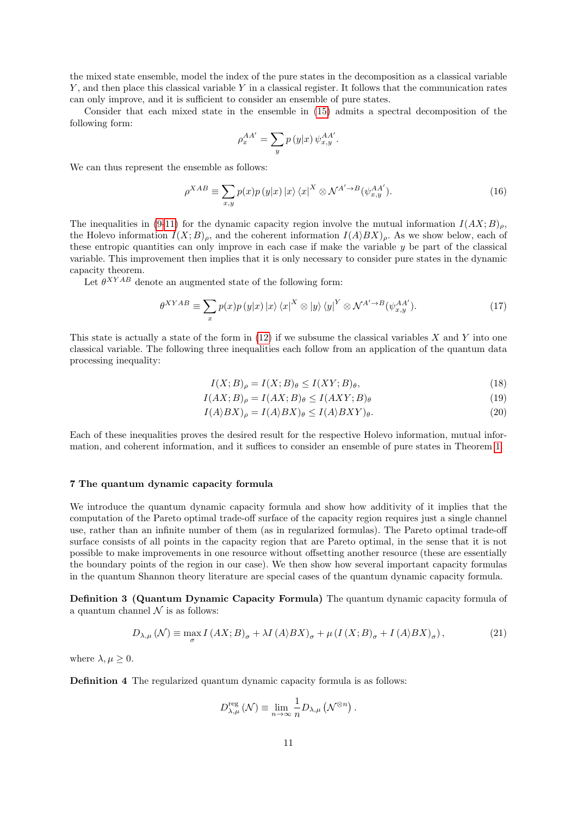the mixed state ensemble, model the index of the pure states in the decomposition as a classical variable Y , and then place this classical variable Y in a classical register. It follows that the communication rates can only improve, and it is sufficient to consider an ensemble of pure states.

Consider that each mixed state in the ensemble in [\(15\)](#page-8-1) admits a spectral decomposition of the following form:

$$
\rho_x^{AA'} = \sum_y p(y|x) \psi_{x,y}^{AA'}.
$$

We can thus represent the ensemble as follows:

$$
\rho^{XAB} \equiv \sum_{x,y} p(x)p(y|x) |x\rangle \langle x|^X \otimes \mathcal{N}^{A' \to B}(\psi_{x,y}^{AA'}).
$$
\n(16)

The inequalities in [\(9](#page-6-2)[-11\)](#page-6-3) for the dynamic capacity region involve the mutual information  $I(AX; B)_{\rho}$ , the Holevo information  $I(X;B)_{\rho}$ , and the coherent information  $I(A\rangle BX)_{\rho}$ . As we show below, each of these entropic quantities can only improve in each case if make the variable  $y$  be part of the classical variable. This improvement then implies that it is only necessary to consider pure states in the dynamic capacity theorem.

Let  $\theta^{XYAB}$  denote an augmented state of the following form:

$$
\theta^{XYAB} \equiv \sum_{x} p(x) p(y|x) |x\rangle \langle x|^X \otimes |y\rangle \langle y|^Y \otimes \mathcal{N}^{A' \to B}(\psi_{x,y}^{AA'}).
$$
 (17)

This state is actually a state of the form in  $(12)$  if we subsume the classical variables X and Y into one classical variable. The following three inequalities each follow from an application of the quantum data processing inequality:

$$
I(X;B)_{\rho} = I(X;B)_{\theta} \le I(XY;B)_{\theta},\tag{18}
$$

$$
I(AX;B)_{\rho} = I(AX;B)_{\theta} \le I(AXY;B)_{\theta}
$$
\n(19)

$$
I(A\rangle BX)_{\rho} = I(A\rangle BX)_{\theta} \le I(A\rangle BXY)_{\theta}.
$$
\n(20)

Each of these inequalities proves the desired result for the respective Holevo information, mutual information, and coherent information, and it suffices to consider an ensemble of pure states in Theorem [1.](#page-6-4)

# <span id="page-11-0"></span>7 The quantum dynamic capacity formula

We introduce the quantum dynamic capacity formula and show how additivity of it implies that the computation of the Pareto optimal trade-off surface of the capacity region requires just a single channel use, rather than an infinite number of them (as in regularized formulas). The Pareto optimal trade-off surface consists of all points in the capacity region that are Pareto optimal, in the sense that it is not possible to make improvements in one resource without offsetting another resource (these are essentially the boundary points of the region in our case). We then show how several important capacity formulas in the quantum Shannon theory literature are special cases of the quantum dynamic capacity formula.

Definition 3 (Quantum Dynamic Capacity Formula) The quantum dynamic capacity formula of a quantum channel  $\mathcal N$  is as follows:

<span id="page-11-1"></span>
$$
D_{\lambda,\mu}(\mathcal{N}) \equiv \max_{\sigma} I\left(AX;B\right)_{\sigma} + \lambda I\left(A\rangle BX\right)_{\sigma} + \mu\left(I\left(X;B\right)_{\sigma} + I\left(A\rangle BX\right)_{\sigma}\right),\tag{21}
$$

where  $\lambda, \mu \geq 0$ .

<span id="page-11-2"></span>Definition 4 The regularized quantum dynamic capacity formula is as follows:

$$
D^{\mathrm{reg}}_{\lambda,\mu}\left(\mathcal{N}\right)\equiv\lim_{n\rightarrow\infty}\frac{1}{n}D_{\lambda,\mu}\left(\mathcal{N}^{\otimes n}\right).
$$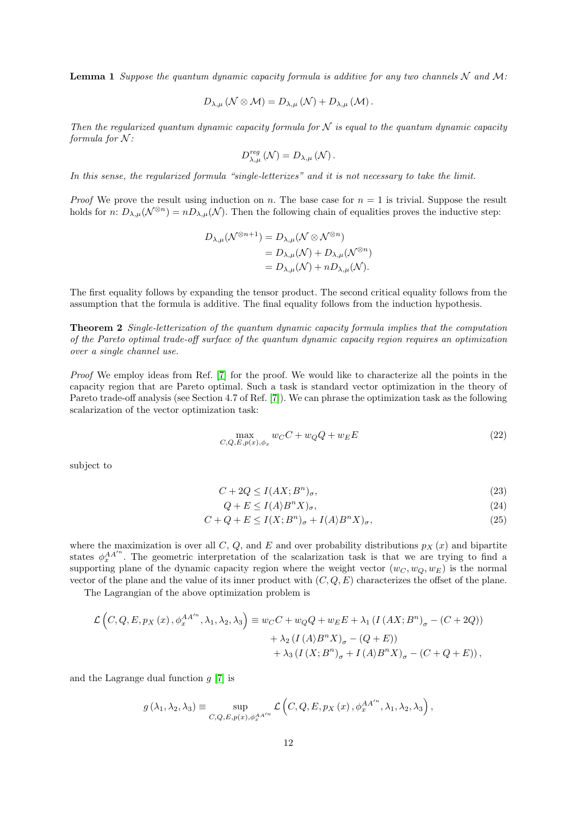**Lemma 1** Suppose the quantum dynamic capacity formula is additive for any two channels N and M:

$$
D_{\lambda,\mu}(\mathcal{N}\otimes\mathcal{M})=D_{\lambda,\mu}(\mathcal{N})+D_{\lambda,\mu}(\mathcal{M}).
$$

Then the regularized quantum dynamic capacity formula for  $N$  is equal to the quantum dynamic capacity formula for  $N$ :

$$
D_{\lambda,\mu}^{reg}(\mathcal{N})=D_{\lambda,\mu}(\mathcal{N}).
$$

In this sense, the regularized formula "single-letterizes" and it is not necessary to take the limit.

*Proof* We prove the result using induction on n. The base case for  $n = 1$  is trivial. Suppose the result holds for n:  $D_{\lambda,\mu}(\mathcal{N}^{\otimes n}) = nD_{\lambda,\mu}(\mathcal{N})$ . Then the following chain of equalities proves the inductive step:

$$
D_{\lambda,\mu}(\mathcal{N}^{\otimes n+1}) = D_{\lambda,\mu}(\mathcal{N} \otimes \mathcal{N}^{\otimes n})
$$
  
=  $D_{\lambda,\mu}(\mathcal{N}) + D_{\lambda,\mu}(\mathcal{N}^{\otimes n})$   
=  $D_{\lambda,\mu}(\mathcal{N}) + nD_{\lambda,\mu}(\mathcal{N}).$ 

The first equality follows by expanding the tensor product. The second critical equality follows from the assumption that the formula is additive. The final equality follows from the induction hypothesis.

Theorem 2 Single-letterization of the quantum dynamic capacity formula implies that the computation of the Pareto optimal trade-off surface of the quantum dynamic capacity region requires an optimization over a single channel use.

Proof We employ ideas from Ref. [\[7\]](#page-23-7) for the proof. We would like to characterize all the points in the capacity region that are Pareto optimal. Such a task is standard vector optimization in the theory of Pareto trade-off analysis (see Section 4.7 of Ref. [\[7\]](#page-23-7)). We can phrase the optimization task as the following scalarization of the vector optimization task:

<span id="page-12-0"></span>
$$
\max_{C,Q,E,p(x),\phi_x} w_C C + w_Q Q + w_E E \tag{22}
$$

subject to

$$
C + 2Q \le I(AX; B^n)_{\sigma},\tag{23}
$$

<span id="page-12-3"></span><span id="page-12-2"></span><span id="page-12-1"></span>
$$
Q + E \le I(A \rangle B^n X)_{\sigma},\tag{24}
$$

$$
C + Q + E \le I(X; Bn)\sigma + I(A \rangle Bn X)\sigma,
$$
\n(25)

where the maximization is over all  $C, Q$ , and  $E$  and over probability distributions  $p_X(x)$  and bipartite states  $\phi_x^{AA^{\prime n}}$ . The geometric interpretation of the scalarization task is that we are trying to find a supporting plane of the dynamic capacity region where the weight vector  $(w_C, w_Q, w_E)$  is the normal vector of the plane and the value of its inner product with  $(C, Q, E)$  characterizes the offset of the plane.

The Lagrangian of the above optimization problem is

$$
\mathcal{L}\left(C,Q,E,p_X\left(x\right),\phi_x^{AA^{\prime n}},\lambda_1,\lambda_2,\lambda_3\right) \equiv w_C C + w_Q Q + w_E E + \lambda_1 \left(I\left(AX;B^n\right)_{\sigma} - \left(C + 2Q\right)\right) \n+ \lambda_2 \left(I\left(A\right)B^n X\right)_{\sigma} - \left(Q + E\right)) \n+ \lambda_3 \left(I\left(X;B^n\right)_{\sigma} + I\left(A\right)B^n X\right)_{\sigma} - \left(C + Q + E\right)\right),
$$

and the Lagrange dual function  $g$  [\[7\]](#page-23-7) is

$$
g(\lambda_1, \lambda_2, \lambda_3) \equiv \sup_{C,Q,E,p(x),\phi_x^{AA^{\prime n}}} \mathcal{L}\left(C,Q,E,p_X(x),\phi_x^{AA^{\prime n}},\lambda_1,\lambda_2,\lambda_3\right),
$$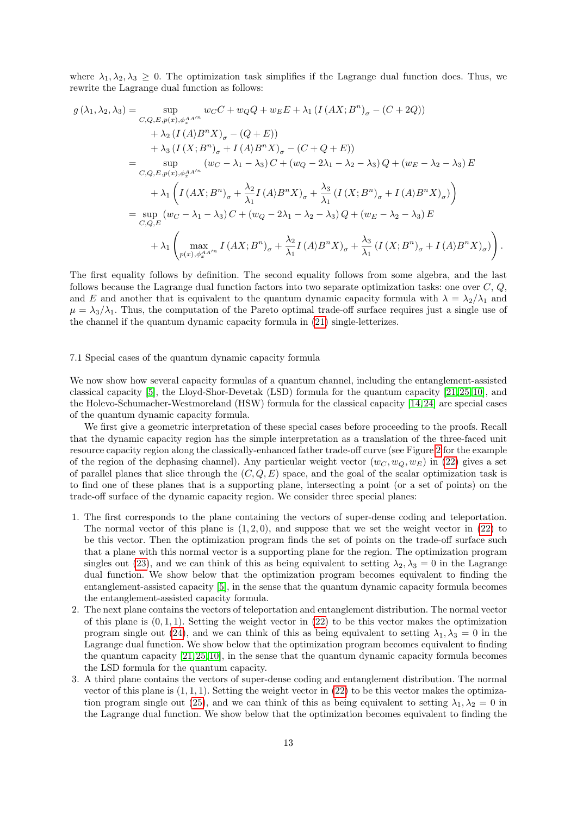where  $\lambda_1, \lambda_2, \lambda_3 \geq 0$ . The optimization task simplifies if the Lagrange dual function does. Thus, we rewrite the Lagrange dual function as follows:

$$
g(\lambda_1, \lambda_2, \lambda_3) = \sup_{C, Q, E, p(x), \phi_2^{AA/n}} w_C C + w_Q Q + w_E E + \lambda_1 (I (AX; B^n)_{\sigma} - (C + 2Q))
$$
  
\n
$$
+ \lambda_2 (I (A) B^n X)_{\sigma} - (Q + E))
$$
  
\n
$$
+ \lambda_3 (I (X; B^n)_{\sigma} + I (A) B^n X)_{\sigma} - (C + Q + E))
$$
  
\n
$$
= \sup_{C, Q, E, p(x), \phi_2^{AA/n}} (w_C - \lambda_1 - \lambda_3) C + (w_Q - 2\lambda_1 - \lambda_2 - \lambda_3) Q + (w_E - \lambda_2 - \lambda_3) E
$$
  
\n
$$
+ \lambda_1 (I (AX; B^n)_{\sigma} + \frac{\lambda_2}{\lambda_1} I (A) B^n X)_{\sigma} + \frac{\lambda_3}{\lambda_1} (I (X; B^n)_{\sigma} + I (A) B^n X)_{\sigma})
$$
  
\n
$$
= \sup_{C, Q, E} (w_C - \lambda_1 - \lambda_3) C + (w_Q - 2\lambda_1 - \lambda_2 - \lambda_3) Q + (w_E - \lambda_2 - \lambda_3) E
$$
  
\n
$$
+ \lambda_1 \left( \max_{p(x), \phi_2^{AA/n}} I (AX; B^n)_{\sigma} + \frac{\lambda_2}{\lambda_1} I (A) B^n X)_{\sigma} + \frac{\lambda_3}{\lambda_1} (I (X; B^n)_{\sigma} + I (A) B^n X)_{\sigma} \right).
$$

The first equality follows by definition. The second equality follows from some algebra, and the last follows because the Lagrange dual function factors into two separate optimization tasks: one over  $C, Q$ , and E and another that is equivalent to the quantum dynamic capacity formula with  $\lambda = \lambda_2/\lambda_1$  and  $\mu = \lambda_3/\lambda_1$ . Thus, the computation of the Pareto optimal trade-off surface requires just a single use of the channel if the quantum dynamic capacity formula in [\(21\)](#page-11-1) single-letterizes.

#### 7.1 Special cases of the quantum dynamic capacity formula

We now show how several capacity formulas of a quantum channel, including the entanglement-assisted classical capacity [\[5\]](#page-23-8), the Lloyd-Shor-Devetak (LSD) formula for the quantum capacity [\[21,](#page-24-7) [25,](#page-24-8) [10\]](#page-23-9), and the Holevo-Schumacher-Westmoreland (HSW) formula for the classical capacity [\[14,](#page-23-10) [24\]](#page-24-9) are special cases of the quantum dynamic capacity formula.

We first give a geometric interpretation of these special cases before proceeding to the proofs. Recall that the dynamic capacity region has the simple interpretation as a translation of the three-faced unit resource capacity region along the classically-enhanced father trade-off curve (see Figure [2](#page-17-0) for the example of the region of the dephasing channel). Any particular weight vector  $(w<sub>C</sub>, w<sub>O</sub>, w<sub>E</sub>)$  in [\(22\)](#page-12-0) gives a set of parallel planes that slice through the  $(C, Q, E)$  space, and the goal of the scalar optimization task is to find one of these planes that is a supporting plane, intersecting a point (or a set of points) on the trade-off surface of the dynamic capacity region. We consider three special planes:

- 1. The first corresponds to the plane containing the vectors of super-dense coding and teleportation. The normal vector of this plane is  $(1, 2, 0)$ , and suppose that we set the weight vector in  $(22)$  to be this vector. Then the optimization program finds the set of points on the trade-off surface such that a plane with this normal vector is a supporting plane for the region. The optimization program singles out [\(23\)](#page-12-1), and we can think of this as being equivalent to setting  $\lambda_2, \lambda_3 = 0$  in the Lagrange dual function. We show below that the optimization program becomes equivalent to finding the entanglement-assisted capacity [\[5\]](#page-23-8), in the sense that the quantum dynamic capacity formula becomes the entanglement-assisted capacity formula.
- 2. The next plane contains the vectors of teleportation and entanglement distribution. The normal vector of this plane is  $(0, 1, 1)$ . Setting the weight vector in  $(22)$  to be this vector makes the optimization program single out [\(24\)](#page-12-2), and we can think of this as being equivalent to setting  $\lambda_1, \lambda_3 = 0$  in the Lagrange dual function. We show below that the optimization program becomes equivalent to finding the quantum capacity  $[21, 25, 10]$  $[21, 25, 10]$  $[21, 25, 10]$ , in the sense that the quantum dynamic capacity formula becomes the LSD formula for the quantum capacity.
- 3. A third plane contains the vectors of super-dense coding and entanglement distribution. The normal vector of this plane is  $(1, 1, 1)$ . Setting the weight vector in  $(22)$  to be this vector makes the optimiza-tion program single out [\(25\)](#page-12-3), and we can think of this as being equivalent to setting  $\lambda_1, \lambda_2 = 0$  in the Lagrange dual function. We show below that the optimization becomes equivalent to finding the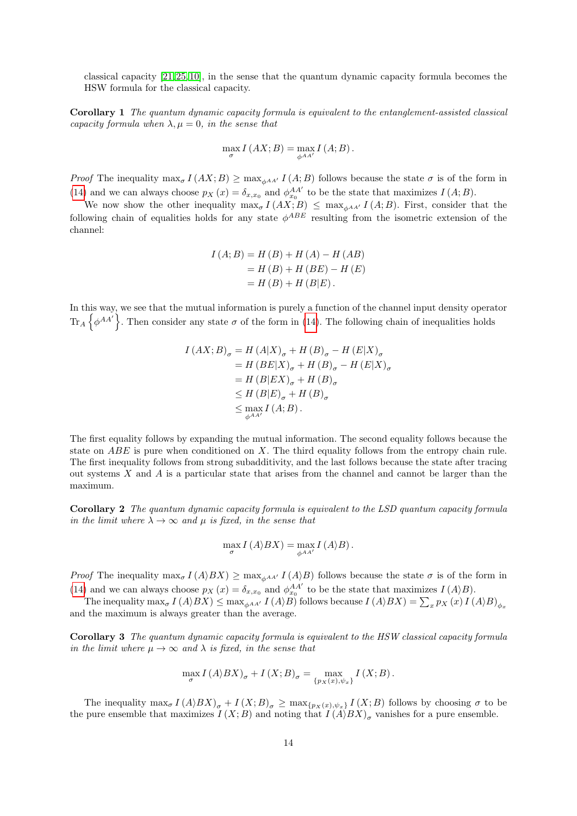classical capacity [\[21,](#page-24-7) [25,](#page-24-8) [10\]](#page-23-9), in the sense that the quantum dynamic capacity formula becomes the HSW formula for the classical capacity.

Corollary 1 The quantum dynamic capacity formula is equivalent to the entanglement-assisted classical capacity formula when  $\lambda, \mu = 0$ , in the sense that

$$
\max_{\sigma} I\left(AX;B\right) = \max_{\phi^{AA'}} I\left(A;B\right).
$$

*Proof* The inequality  $\max_{\sigma} I(AX; B) \ge \max_{\phi A A'} I(A; B)$  follows because the state  $\sigma$  is of the form in [\(14\)](#page-7-2) and we can always choose  $p_X(x) = \delta_{x,x_0}$  and  $\phi_{x_0}^{AA'}$  to be the state that maximizes  $I(A;B)$ .

We now show the other inequality  $\max_{\sigma} I(AX;B) \leq \max_{\phi^{AA'}} I(A;B)$ . First, consider that the following chain of equalities holds for any state  $\phi^{ABE}$  resulting from the isometric extension of the channel:

$$
I(A; B) = H(B) + H(A) - H(AB)
$$
  
= H(B) + H(BE) - H(E)  
= H(B) + H(B|E).

In this way, we see that the mutual information is purely a function of the channel input density operator  $\text{Tr}_A\left\{\phi^{AA'}\right\}$ . Then consider any state  $\sigma$  of the form in [\(14\)](#page-7-2). The following chain of inequalities holds

$$
I(AX; B)_{\sigma} = H(A|X)_{\sigma} + H(B)_{\sigma} - H(E|X)_{\sigma}
$$
  
=  $H(BE|X)_{\sigma} + H(B)_{\sigma} - H(E|X)_{\sigma}$   
=  $H(B|EX)_{\sigma} + H(B)_{\sigma}$   
 $\leq H(B|E)_{\sigma} + H(B)_{\sigma}$   
 $\leq \max_{\phi^{AA'}} I(A; B).$ 

The first equality follows by expanding the mutual information. The second equality follows because the state on  $ABE$  is pure when conditioned on X. The third equality follows from the entropy chain rule. The first inequality follows from strong subadditivity, and the last follows because the state after tracing out systems X and A is a particular state that arises from the channel and cannot be larger than the maximum.

Corollary 2 The quantum dynamic capacity formula is equivalent to the LSD quantum capacity formula in the limit where  $\lambda \to \infty$  and  $\mu$  is fixed, in the sense that

$$
\max_{\sigma} I(A\rangle BX) = \max_{\phi^{AA'}} I(A\rangle B).
$$

*Proof* The inequality  $\max_{\sigma} I(A \nvert B X) \ge \max_{\phi A A'} I(A \nvert B)$  follows because the state  $\sigma$  is of the form in [\(14\)](#page-7-2) and we can always choose  $p_X(x) = \delta_{x,x_0}$  and  $\phi_{x_0}^{AA'}$  to be the state that maximizes  $I(A \mid B)$ .

The inequality  $\max_{\sigma} I(A\rangle BX) \leq \max_{\phi^{AA'}} I(A\rangle B)$  follows because  $I(A\rangle BX) = \sum_{x} p_X(x) I(A\rangle B)_{\phi_x}$ and the maximum is always greater than the average.

Corollary 3 The quantum dynamic capacity formula is equivalent to the HSW classical capacity formula in the limit where  $\mu \to \infty$  and  $\lambda$  is fixed, in the sense that

$$
\max_{\sigma} I(A\rangle BX)_{\sigma} + I(X;B)_{\sigma} = \max_{\{p_X(x), \psi_x\}} I(X;B).
$$

The inequality  $\max_{\sigma} I(A\rangle BX)_{\sigma} + I(X;B)_{\sigma} \geq \max_{\{p_X(x),\psi_x\}} I(X;B)$  follows by choosing  $\sigma$  to be the pure ensemble that maximizes  $I(X;B)$  and noting that  $I(A\rangle BX)_{\sigma}$  vanishes for a pure ensemble.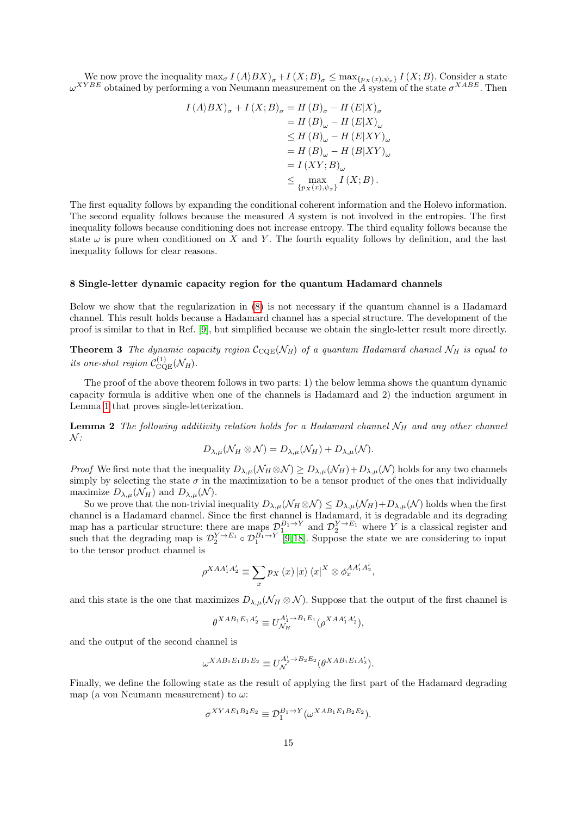We now prove the inequality  $\max_{\sigma} I(A\rangle BX)_{\sigma} + I(X;B)_{\sigma} \leq \max_{\{p_X(x),\psi_x\}} I(X;B)$ . Consider a state  $\omega^{XYBE}$  obtained by performing a von Neumann measurement on the A system of the state  $\sigma^{XABE}$ . Then

$$
I(A\rangle BX)_{\sigma} + I(X;B)_{\sigma} = H(B)_{\sigma} - H(E|X)_{\sigma}
$$
  
\n
$$
= H(B)_{\omega} - H(E|X)_{\omega}
$$
  
\n
$$
\leq H(B)_{\omega} - H(E|XY)_{\omega}
$$
  
\n
$$
= H(B)_{\omega} - H(B|XY)_{\omega}
$$
  
\n
$$
= I(XY;B)_{\omega}
$$
  
\n
$$
\leq \max_{\{p_X(x), \psi_x\}} I(X;B).
$$

The first equality follows by expanding the conditional coherent information and the Holevo information. The second equality follows because the measured A system is not involved in the entropies. The first inequality follows because conditioning does not increase entropy. The third equality follows because the state  $\omega$  is pure when conditioned on X and Y. The fourth equality follows by definition, and the last inequality follows for clear reasons.

# <span id="page-15-0"></span>8 Single-letter dynamic capacity region for the quantum Hadamard channels

Below we show that the regularization in [\(8\)](#page-6-1) is not necessary if the quantum channel is a Hadamard channel. This result holds because a Hadamard channel has a special structure. The development of the proof is similar to that in Ref. [\[9\]](#page-23-1), but simplified because we obtain the single-letter result more directly.

**Theorem 3** The dynamic capacity region  $C_{CQE}(\mathcal{N}_H)$  of a quantum Hadamard channel  $\mathcal{N}_H$  is equal to its one-shot region  $C^{(1)}_{CQE}(\mathcal{N}_H)$ .

The proof of the above theorem follows in two parts: 1) the below lemma shows the quantum dynamic capacity formula is additive when one of the channels is Hadamard and 2) the induction argument in Lemma [1](#page-11-2) that proves single-letterization.

**Lemma 2** The following additivity relation holds for a Hadamard channel  $\mathcal{N}_H$  and any other channel  $\mathcal{N}$ :

$$
D_{\lambda,\mu}(\mathcal{N}_H \otimes \mathcal{N}) = D_{\lambda,\mu}(\mathcal{N}_H) + D_{\lambda,\mu}(\mathcal{N}).
$$

*Proof* We first note that the inequality  $D_{\lambda,\mu}(\mathcal{N}_H \otimes \mathcal{N}) \geq D_{\lambda,\mu}(\mathcal{N}_H) + D_{\lambda,\mu}(\mathcal{N})$  holds for any two channels simply by selecting the state  $\sigma$  in the maximization to be a tensor product of the ones that individually maximize  $D_{\lambda,\mu}(\mathcal{N}_H)$  and  $D_{\lambda,\mu}(\mathcal{N})$ .

So we prove that the non-trivial inequality  $D_{\lambda,\mu}(\mathcal{N}_H \otimes \mathcal{N}) \leq D_{\lambda,\mu}(\mathcal{N}_H) + D_{\lambda,\mu}(\mathcal{N})$  holds when the first channel is a Hadamard channel. Since the first channel is Hadamard, it is degradable and its degrading map has a particular structure: there are maps  $\mathcal{D}_1^{B_1 \to Y}$  and  $\mathcal{D}_2^{Y \to E_1}$  where Y is a classical register and such that the degrading map is  $\mathcal{D}_2^{Y \to E_1} \circ \mathcal{D}_1^{B_1 \to Y}$  [\[9,](#page-23-1)18]. Suppose the state we are considering to input to the tensor product channel is

$$
\rho^{XAA'_1A'_2} \equiv \sum_x p_X(x) \left| x \right\rangle \left\langle x \right|^X \otimes \phi_x^{AA'_1A'_2},
$$

and this state is the one that maximizes  $D_{\lambda,\mu}(\mathcal{N}_H \otimes \mathcal{N})$ . Suppose that the output of the first channel is

$$
\theta^{XAB_1E_1A_2'} \equiv U_{\mathcal{N}_H}^{A_1' \to B_1E_1} (\rho^{XAA_1'A_2'}),
$$

and the output of the second channel is

$$
\omega^{XAB_1E_1B_2E_2} \equiv U_{\mathcal{N}}^{A_2' \to B_2E_2} (\theta^{XAB_1E_1A_2'}).
$$

Finally, we define the following state as the result of applying the first part of the Hadamard degrading map (a von Neumann measurement) to  $\omega$ :

$$
\sigma^{XYAE_1B_2E_2} \equiv \mathcal{D}_1^{B_1 \to Y} (\omega^{XAB_1E_1B_2E_2}).
$$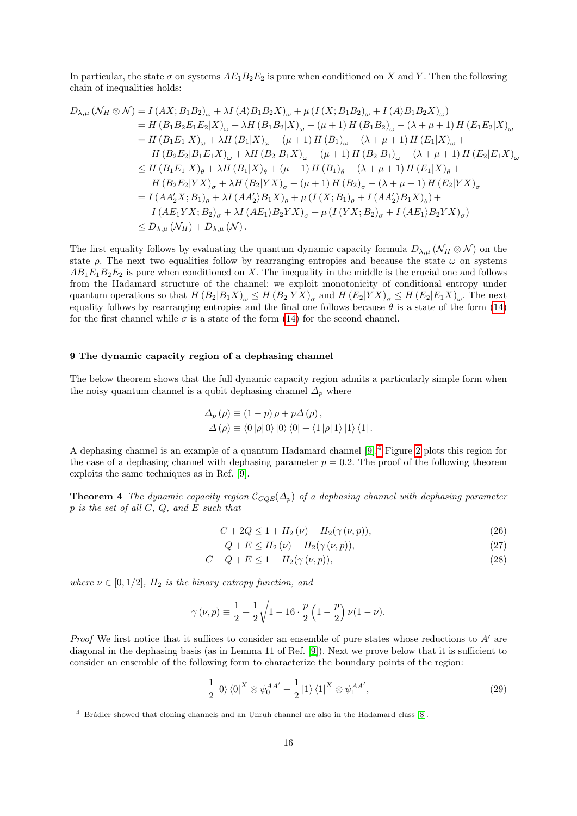In particular, the state  $\sigma$  on systems  $AE_1B_2E_2$  is pure when conditioned on X and Y. Then the following chain of inequalities holds:

$$
D_{\lambda,\mu} (N_H \otimes N) = I (AX; B_1 B_2)_{\omega} + \lambda I (A) B_1 B_2 X)_{\omega} + \mu (I (X; B_1 B_2)_{\omega} + I (A) B_1 B_2 X)_{\omega})
$$
  
\n
$$
= H (B_1 B_2 E_1 E_2 | X)_{\omega} + \lambda H (B_1 B_2 | X)_{\omega} + (\mu + 1) H (B_1 B_2)_{\omega} - (\lambda + \mu + 1) H (E_1 E_2 | X)_{\omega}
$$
  
\n
$$
= H (B_1 E_1 | X)_{\omega} + \lambda H (B_1 | X)_{\omega} + (\mu + 1) H (B_1)_{\omega} - (\lambda + \mu + 1) H (E_1 | X)_{\omega} +
$$
  
\n
$$
H (B_2 E_2 | B_1 E_1 X)_{\omega} + \lambda H (B_2 | B_1 X)_{\omega} + (\mu + 1) H (B_2 | B_1)_{\omega} - (\lambda + \mu + 1) H (E_2 | E_1 X)_{\omega}
$$
  
\n
$$
\leq H (B_1 E_1 | X)_{\theta} + \lambda H (B_1 | X)_{\theta} + (\mu + 1) H (B_1)_{\theta} - (\lambda + \mu + 1) H (E_1 | X)_{\theta} +
$$
  
\n
$$
H (B_2 E_2 | Y X)_{\sigma} + \lambda H (B_2 | Y X)_{\sigma} + (\mu + 1) H (B_2)_{\sigma} - (\lambda + \mu + 1) H (E_2 | Y X)_{\sigma}
$$
  
\n
$$
= I (A A'_2 X; B_1)_{\theta} + \lambda I (A A'_2) B_1 X)_{\theta} + \mu (I (X; B_1)_{\theta} + I (A A'_2) B_1 X)_{\theta} +
$$
  
\n
$$
I (A E_1 Y X; B_2)_{\sigma} + \lambda I (A E_1) B_2 Y X)_{\sigma} + \mu (I (Y X; B_2)_{\sigma} + I (A E_1) B_2 Y X)_{\sigma}
$$
  
\n
$$
\leq D_{\lambda, \mu} (N_H) + D_{\lambda, \mu} (N).
$$

The first equality follows by evaluating the quantum dynamic capacity formula  $D_{\lambda,\mu}$  ( $\mathcal{N}_H \otimes \mathcal{N}$ ) on the state  $\rho$ . The next two equalities follow by rearranging entropies and because the state  $\omega$  on systems  $AB_1E_1B_2E_2$  is pure when conditioned on X. The inequality in the middle is the crucial one and follows from the Hadamard structure of the channel: we exploit monotonicity of conditional entropy under quantum operations so that  $H(B_2|B_1X)_{\omega} \leq H(B_2|YX)_{\sigma}$  and  $H(E_2|YX)_{\sigma} \leq H(E_2|E_1X)_{\omega}$ . The next equality follows by rearranging entropies and the final one follows because  $\theta$  is a state of the form [\(14\)](#page-7-2) for the first channel while  $\sigma$  is a state of the form [\(14\)](#page-7-2) for the second channel.

# <span id="page-16-0"></span>9 The dynamic capacity region of a dephasing channel

The below theorem shows that the full dynamic capacity region admits a particularly simple form when the noisy quantum channel is a qubit dephasing channel  $\Delta_p$  where

$$
\Delta_p(\rho) \equiv (1 - p) \rho + p \Delta(\rho),
$$
  
 
$$
\Delta(\rho) \equiv \langle 0 | \rho | 0 \rangle | 0 \rangle \langle 0 | + \langle 1 | \rho | 1 \rangle | 1 \rangle \langle 1 |.
$$

A dephasing channel is an example of a quantum Hadamard channel [\[9\]](#page-23-1).[4](#page-16-1) Figure [2](#page-17-0) plots this region for the case of a dephasing channel with dephasing parameter  $p = 0.2$ . The proof of the following theorem exploits the same techniques as in Ref. [\[9\]](#page-23-1).

<span id="page-16-3"></span>**Theorem 4** The dynamic capacity region  $C_{CQE}(\Delta_p)$  of a dephasing channel with dephasing parameter p is the set of all C, Q, and E such that

$$
C + 2Q \le 1 + H_2(\nu) - H_2(\gamma(\nu, p)),
$$
\n(26)

$$
Q + E \le H_2(\nu) - H_2(\gamma(\nu, p)),\tag{27}
$$

$$
C + Q + E \le 1 - H_2(\gamma(\nu, p)),
$$
\n(28)

where  $\nu \in [0, 1/2]$ ,  $H_2$  is the binary entropy function, and

$$
\gamma(\nu, p) \equiv \frac{1}{2} + \frac{1}{2} \sqrt{1 - 16 \cdot \frac{p}{2} \left(1 - \frac{p}{2}\right) \nu (1 - \nu)}.
$$

*Proof* We first notice that it suffices to consider an ensemble of pure states whose reductions to  $A'$  are diagonal in the dephasing basis (as in Lemma 11 of Ref. [\[9\]](#page-23-1)). Next we prove below that it is sufficient to consider an ensemble of the following form to characterize the boundary points of the region:

<span id="page-16-2"></span>
$$
\frac{1}{2} \left| 0 \right\rangle \left\langle 0 \right|^{X} \otimes \psi_0^{AA'} + \frac{1}{2} \left| 1 \right\rangle \left\langle 1 \right|^{X} \otimes \psi_1^{AA'}, \tag{29}
$$

<span id="page-16-1"></span><sup>&</sup>lt;sup>4</sup> Brádler showed that cloning channels and an Unruh channel are also in the Hadamard class [\[8\]](#page-23-11).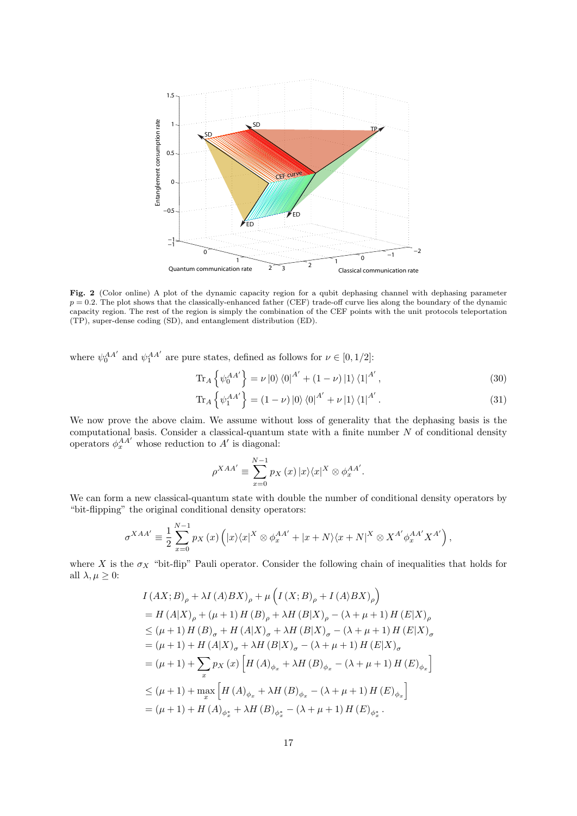

<span id="page-17-0"></span>Fig. 2 (Color online) A plot of the dynamic capacity region for a qubit dephasing channel with dephasing parameter  $p = 0.2$ . The plot shows that the classically-enhanced father (CEF) trade-off curve lies along the boundary of the dynamic capacity region. The rest of the region is simply the combination of the CEF points with the unit protocols teleportation (TP), super-dense coding (SD), and entanglement distribution (ED).

where  $\psi_0^{AA'}$  and  $\psi_1^{AA'}$  are pure states, defined as follows for  $\nu \in [0, 1/2]$ :

$$
\operatorname{Tr}_{A}\left\{\psi_{0}^{AA'}\right\} = \nu \left|0\right\rangle\left\langle0\right|^{A'} + \left(1 - \nu\right)\left|1\right\rangle\left\langle1\right|^{A'},\tag{30}
$$

$$
\operatorname{Tr}_{A}\left\{\psi_{1}^{AA'}\right\} = (1-\nu)\left|0\right\rangle\left\langle0\right|^{A'} + \nu\left|1\right\rangle\left\langle1\right|^{A'}.
$$
\n(31)

We now prove the above claim. We assume without loss of generality that the dephasing basis is the computational basis. Consider a classical-quantum state with a finite number  $N$  of conditional density operators  $\phi_x^{AA'}$  whose reduction to A' is diagonal:

$$
\rho^{XAA'} \equiv \sum_{x=0}^{N-1} p_X(x) |x\rangle\langle x|^X \otimes \phi_x^{AA'}.
$$

We can form a new classical-quantum state with double the number of conditional density operators by "bit-flipping" the original conditional density operators:

$$
\sigma^{XAA'} \equiv \frac{1}{2} \sum_{x=0}^{N-1} p_X(x) \left( |x\rangle\langle x|^X \otimes \phi_x^{AA'} + |x+N\rangle\langle x+N|^X \otimes X^{A'} \phi_x^{AA'} X^{A'} \right),
$$

where X is the  $\sigma_X$  "bit-flip" Pauli operator. Consider the following chain of inequalities that holds for all  $\lambda, \mu \geq 0$ :

$$
I(AX; B)_{\rho} + \lambda I (A \rangle BX)_{\rho} + \mu (I(X; B)_{\rho} + I (A \rangle BX)_{\rho})
$$
  
=  $H (A|X)_{\rho} + (\mu + 1) H (B)_{\rho} + \lambda H (B|X)_{\rho} - (\lambda + \mu + 1) H (E|X)_{\rho}$   
 $\leq (\mu + 1) H (B)_{\sigma} + H (A|X)_{\sigma} + \lambda H (B|X)_{\sigma} - (\lambda + \mu + 1) H (E|X)_{\sigma}$   
=  $(\mu + 1) + H (A|X)_{\sigma} + \lambda H (B|X)_{\sigma} - (\lambda + \mu + 1) H (E|X)_{\sigma}$   
=  $(\mu + 1) + \sum_{x} p_X (x) [H (A)_{\phi_x} + \lambda H (B)_{\phi_x} - (\lambda + \mu + 1) H (E)_{\phi_x}]$   
 $\leq (\mu + 1) + \max_{x} [H (A)_{\phi_x} + \lambda H (B)_{\phi_x} - (\lambda + \mu + 1) H (E)_{\phi_x}]$   
=  $(\mu + 1) + H (A)_{\phi_x^*} + \lambda H (B)_{\phi_x^*} - (\lambda + \mu + 1) H (E)_{\phi_x^*}.$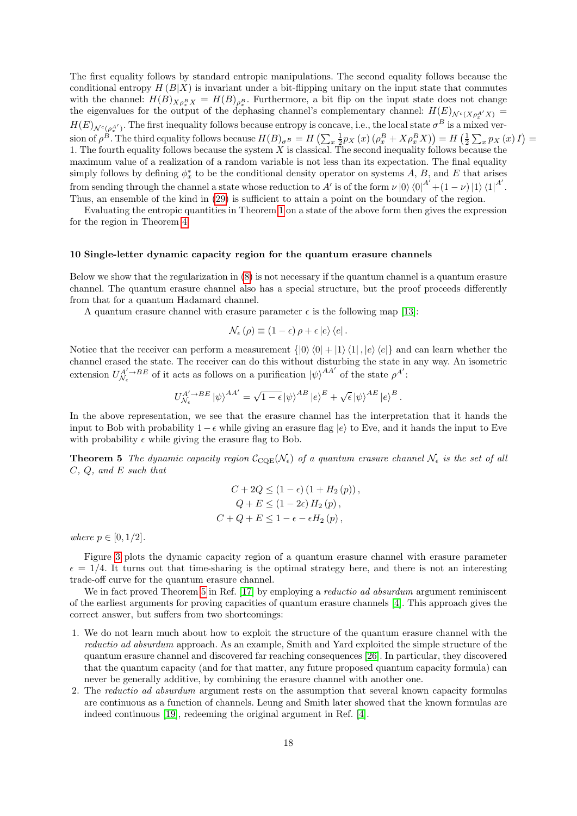The first equality follows by standard entropic manipulations. The second equality follows because the conditional entropy  $H(B|X)$  is invariant under a bit-flipping unitary on the input state that commutes with the channel:  $H(B)_{X\rho_x^B X} = H(B)_{\rho_x^B}$ . Furthermore, a bit flip on the input state does not change the eigenvalues for the output of the dephasing channel's complementary channel:  $H(E)_{\mathcal{N}^c(X\rho_x^{A'}X)} =$  $H(E)_{\mathcal{N}^c(\rho^{A'}_x)}$ . The first inequality follows because entropy is concave, i.e., the local state  $\sigma^B$  is a mixed version of  $\rho^B$ . The third equality follows because  $H(B)_{\sigma^B} = H\left(\sum_x \frac{1}{2}p_X(x)\left(\rho_x^B + X\rho_x^B X\right)\right) = H\left(\frac{1}{2}\sum_x p_X(x)I\right) =$ 1. The fourth equality follows because the system  $X$  is classical. The second inequality follows because the maximum value of a realization of a random variable is not less than its expectation. The final equality simply follows by defining  $\phi_x^*$  to be the conditional density operator on systems A, B, and E that arises from sending through the channel a state whose reduction to A' is of the form  $\nu \ket{0} \bra{0}^{A'} + (1 - \nu) \ket{1} \bra{1}^{A'}$ . Thus, an ensemble of the kind in [\(29\)](#page-16-2) is sufficient to attain a point on the boundary of the region.

Evaluating the entropic quantities in Theorem [1](#page-6-4) on a state of the above form then gives the expression for the region in Theorem [4.](#page-16-3)

#### <span id="page-18-0"></span>10 Single-letter dynamic capacity region for the quantum erasure channels

Below we show that the regularization in [\(8\)](#page-6-1) is not necessary if the quantum channel is a quantum erasure channel. The quantum erasure channel also has a special structure, but the proof proceeds differently from that for a quantum Hadamard channel.

A quantum erasure channel with erasure parameter  $\epsilon$  is the following map [\[13\]](#page-23-12):

$$
\mathcal{N}_{\epsilon}(\rho) \equiv (1-\epsilon)\,\rho + \epsilon \,|e\rangle\,\langle e|.
$$

Notice that the receiver can perform a measurement  $\{|0\rangle\langle0| + |1\rangle\langle1|, |e\rangle\langle e|\}$  and can learn whether the channel erased the state. The receiver can do this without disturbing the state in any way. An isometric extension  $U_{N_{\epsilon}}^{A' \to BE}$  of it acts as follows on a purification  $\ket{\psi}^{AA'}$  of the state  $\rho^{A'}$ :

$$
U_{\mathcal{N}_{\epsilon}}^{A^{\prime}\rightarrow BE}\left|\psi\right\rangle ^{AA^{\prime}}=\sqrt{1-\epsilon}\left|\psi\right\rangle ^{AB}\left|e\right\rangle ^{E}+\sqrt{\epsilon}\left|\psi\right\rangle ^{AE}\left|e\right\rangle ^{B}.
$$

In the above representation, we see that the erasure channel has the interpretation that it hands the input to Bob with probability  $1 - \epsilon$  while giving an erasure flag  $|e\rangle$  to Eve, and it hands the input to Eve with probability  $\epsilon$  while giving the erasure flag to Bob.

<span id="page-18-1"></span>**Theorem 5** The dynamic capacity region  $C_{CQE}(\mathcal{N}_{\epsilon})$  of a quantum erasure channel  $\mathcal{N}_{\epsilon}$  is the set of all C, Q, and E such that

$$
C + 2Q \le (1 - \epsilon) (1 + H_2(p)),
$$
  
\n
$$
Q + E \le (1 - 2\epsilon) H_2(p),
$$
  
\n
$$
C + Q + E \le 1 - \epsilon - \epsilon H_2(p),
$$

where  $p \in [0, 1/2]$ .

Figure [3](#page-19-0) plots the dynamic capacity region of a quantum erasure channel with erasure parameter  $\epsilon = 1/4$ . It turns out that time-sharing is the optimal strategy here, and there is not an interesting trade-off curve for the quantum erasure channel.

We in fact proved Theorem [5](#page-18-1) in Ref. [\[17\]](#page-24-1) by employing a *reductio ad absurdum* argument reminiscent of the earliest arguments for proving capacities of quantum erasure channels [\[4\]](#page-23-13). This approach gives the correct answer, but suffers from two shortcomings:

- 1. We do not learn much about how to exploit the structure of the quantum erasure channel with the reductio ad absurdum approach. As an example, Smith and Yard exploited the simple structure of the quantum erasure channel and discovered far reaching consequences [\[26\]](#page-24-10). In particular, they discovered that the quantum capacity (and for that matter, any future proposed quantum capacity formula) can never be generally additive, by combining the erasure channel with another one.
- 2. The reductio ad absurdum argument rests on the assumption that several known capacity formulas are continuous as a function of channels. Leung and Smith later showed that the known formulas are indeed continuous [\[19\]](#page-24-11), redeeming the original argument in Ref. [\[4\]](#page-23-13).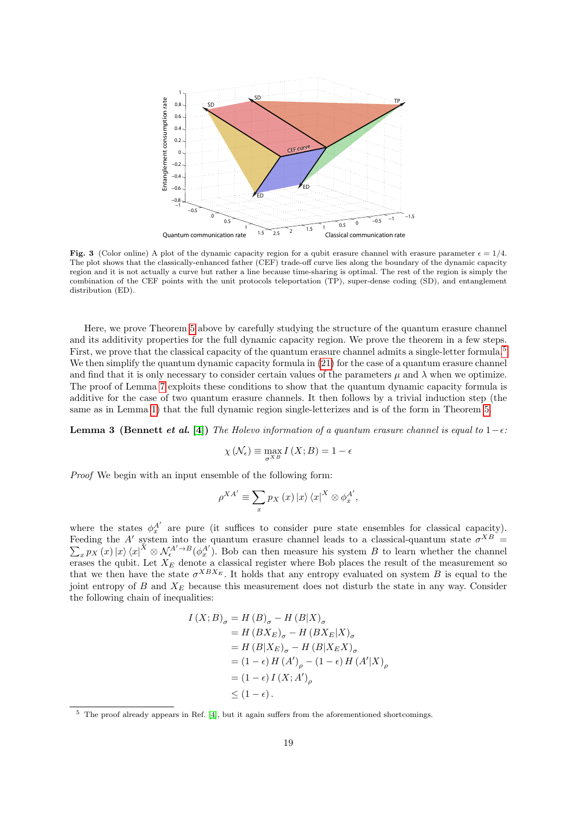

<span id="page-19-0"></span>Fig. 3 (Color online) A plot of the dynamic capacity region for a qubit erasure channel with erasure parameter  $\epsilon = 1/4$ . The plot shows that the classically-enhanced father (CEF) trade-off curve lies along the boundary of the dynamic capacity region and it is not actually a curve but rather a line because time-sharing is optimal. The rest of the region is simply the combination of the CEF points with the unit protocols teleportation (TP), super-dense coding (SD), and entanglement distribution (ED).

Here, we prove Theorem [5](#page-18-1) above by carefully studying the structure of the quantum erasure channel and its additivity properties for the full dynamic capacity region. We prove the theorem in a few steps. First, we prove that the classical capacity of the quantum erasure channel admits a single-letter formula.<sup>[5](#page-19-1)</sup> We then simplify the quantum dynamic capacity formula in  $(21)$  for the case of a quantum erasure channel and find that it is only necessary to consider certain values of the parameters  $\mu$  and  $\lambda$  when we optimize. The proof of Lemma [7](#page-21-0) exploits these conditions to show that the quantum dynamic capacity formula is additive for the case of two quantum erasure channels. It then follows by a trivial induction step (the same as in Lemma [1\)](#page-11-2) that the full dynamic region single-letterizes and is of the form in Theorem [5.](#page-18-1)

<span id="page-19-2"></span>**Lemma 3 (Bennett et al.** [\[4\]](#page-23-13)) The Holevo information of a quantum erasure channel is equal to  $1-\epsilon$ :

$$
\chi\left(\mathcal{N}_{\epsilon}\right) \equiv \max_{\sigma^{XB}} I\left(X;B\right) = 1 - \epsilon
$$

Proof We begin with an input ensemble of the following form:

$$
\rho^{XA'} \equiv \sum_{x} p_X(x) \left| x \right\rangle \left\langle x \right|^{X} \otimes \phi_x^{A'},
$$

where the states  $\phi_x^{A'}$  are pure (it suffices to consider pure state ensembles for classical capacity). Feeding the  $A'$  system into the quantum erasure channel leads to a classical-quantum state  $\sigma$  $\sum$  $X^B =$  ${}_x p_X(x) |x\rangle \langle x|^X \otimes \mathcal{N}_{\epsilon}^{A' \to B}(\phi_x^{A'})$ . Bob can then measure his system B to learn whether the channel erases the qubit. Let  $X_E$  denote a classical register where Bob places the result of the measurement so that we then have the state  $\sigma^{XBX_E}$ . It holds that any entropy evaluated on system B is equal to the joint entropy of  $B$  and  $X_E$  because this measurement does not disturb the state in any way. Consider the following chain of inequalities:

$$
I(X; B)_{\sigma} = H(B)_{\sigma} - H(B|X)_{\sigma}
$$
  
=  $H(BX_E)_{\sigma} - H(BX_E|X)_{\sigma}$   
=  $H(B|X_E)_{\sigma} - H(B|X_EX)_{\sigma}$   
=  $(1 - \epsilon) H(A')_{\rho} - (1 - \epsilon) H(A'|X)_{\rho}$   
=  $(1 - \epsilon) I(X; A')_{\rho}$   
 $\leq (1 - \epsilon).$ 

<span id="page-19-1"></span><sup>&</sup>lt;sup>5</sup> The proof already appears in Ref. [\[4\]](#page-23-13), but it again suffers from the aforementioned shortcomings.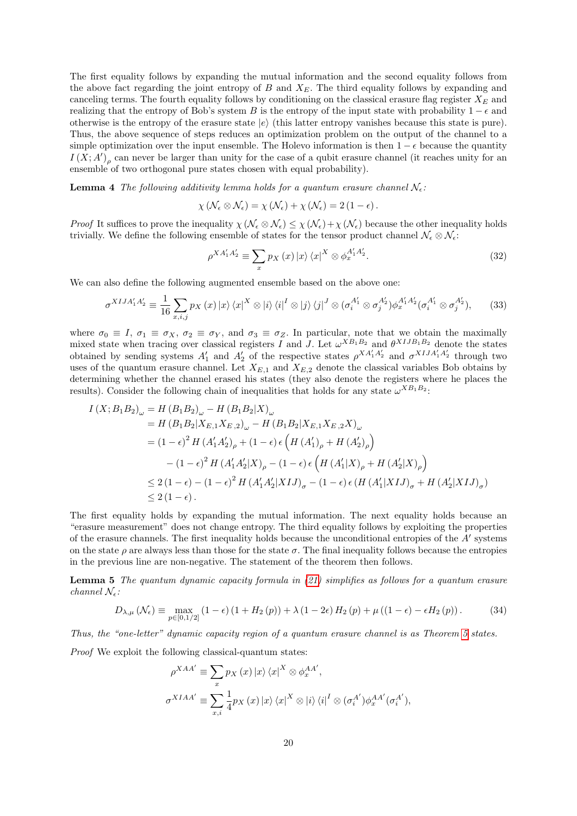The first equality follows by expanding the mutual information and the second equality follows from the above fact regarding the joint entropy of B and  $X_E$ . The third equality follows by expanding and canceling terms. The fourth equality follows by conditioning on the classical erasure flag register  $X_E$  and realizing that the entropy of Bob's system B is the entropy of the input state with probability  $1 - \epsilon$  and otherwise is the entropy of the erasure state  $|e\rangle$  (this latter entropy vanishes because this state is pure). Thus, the above sequence of steps reduces an optimization problem on the output of the channel to a simple optimization over the input ensemble. The Holevo information is then  $1 - \epsilon$  because the quantity  $I(X; A')_{\rho}$  can never be larger than unity for the case of a qubit erasure channel (it reaches unity for an ensemble of two orthogonal pure states chosen with equal probability).

**Lemma 4** The following additivity lemma holds for a quantum erasure channel  $N_{\epsilon}$ :

$$
\chi\left(\mathcal{N}_{\epsilon}\otimes\mathcal{N}_{\epsilon}\right)=\chi\left(\mathcal{N}_{\epsilon}\right)+\chi\left(\mathcal{N}_{\epsilon}\right)=2\left(1-\epsilon\right).
$$

*Proof* It suffices to prove the inequality  $\chi(\mathcal{N}_{\epsilon} \otimes \mathcal{N}_{\epsilon}) \leq \chi(\mathcal{N}_{\epsilon}) + \chi(\mathcal{N}_{\epsilon})$  because the other inequality holds trivially. We define the following ensemble of states for the tensor product channel  $\mathcal{N}_{\epsilon} \otimes \mathcal{N}_{\epsilon}$ :

$$
\rho^{XA'_{1}A'_{2}} \equiv \sum_{x} p_{X}\left(x\right)\left|x\right\rangle\left\langle x\right|^{X} \otimes \phi_{x}^{A'_{1}A'_{2}}.\tag{32}
$$

We can also define the following augmented ensemble based on the above one:

<span id="page-20-1"></span>
$$
\sigma^{XIJA_1'A_2'} \equiv \frac{1}{16} \sum_{x,i,j} p_X(x) \left| x \right\rangle \left\langle x \right|^X \otimes \left| i \right\rangle \left\langle i \right|^I \otimes \left| j \right\rangle \left\langle j \right|^J \otimes (\sigma_i^{A_1'} \otimes \sigma_j^{A_2'}) \phi_x^{A_1'A_2'} (\sigma_i^{A_1'} \otimes \sigma_j^{A_2'}), \tag{33}
$$

where  $\sigma_0 \equiv I$ ,  $\sigma_1 \equiv \sigma_X$ ,  $\sigma_2 \equiv \sigma_Y$ , and  $\sigma_3 \equiv \sigma_Z$ . In particular, note that we obtain the maximally mixed state when tracing over classical registers I and J. Let  $\omega^{XB_1B_2}$  and  $\theta^{XIJB_1B_2}$  denote the states obtained by sending systems  $A'_1$  and  $A'_2$  of the respective states  $\rho^{XA'_1A'_2}$  and  $\sigma^{XIJA'_1A'_2}$  through two uses of the quantum erasure channel. Let  $X_{E,1}$  and  $X_{E,2}$  denote the classical variables Bob obtains by determining whether the channel erased his states (they also denote the registers where he places the results). Consider the following chain of inequalities that holds for any state  $\omega^{XB_1B_2}$ :

$$
I(X; B_1 B_2)_{\omega} = H (B_1 B_2)_{\omega} - H (B_1 B_2 | X)_{\omega}
$$
  
=  $H (B_1 B_2 | X_{E,1} X_{E,2})_{\omega} - H (B_1 B_2 | X_{E,1} X_{E,2} X)_{\omega}$   
=  $(1 - \epsilon)^2 H (A'_1 A'_2)_{\rho} + (1 - \epsilon) \epsilon \left( H (A'_1)_{\rho} + H (A'_2)_{\rho} \right)$   
 $- (1 - \epsilon)^2 H (A'_1 A'_2 | X)_{\rho} - (1 - \epsilon) \epsilon \left( H (A'_1 | X)_{\rho} + H (A'_2 | X)_{\rho} \right)$   
 $\leq 2 (1 - \epsilon) - (1 - \epsilon)^2 H (A'_1 A'_2 | X I J)_{\sigma} - (1 - \epsilon) \epsilon (H (A'_1 | X I J)_{\sigma} + H (A'_2 | X I J)_{\sigma})$   
 $\leq 2 (1 - \epsilon).$ 

The first equality holds by expanding the mutual information. The next equality holds because an "erasure measurement" does not change entropy. The third equality follows by exploiting the properties of the erasure channels. The first inequality holds because the unconditional entropies of the  $A'$  systems on the state  $\rho$  are always less than those for the state  $\sigma$ . The final inequality follows because the entropies in the previous line are non-negative. The statement of the theorem then follows.

Lemma 5 The quantum dynamic capacity formula in [\(21\)](#page-11-1) simplifies as follows for a quantum erasure channel  $\mathcal{N}_{\epsilon}$ :

<span id="page-20-0"></span>
$$
D_{\lambda,\mu}\left(\mathcal{N}_{\epsilon}\right) \equiv \max_{p\in[0,1/2]} \left(1-\epsilon\right)\left(1+H_2\left(p\right)\right) + \lambda\left(1-2\epsilon\right)H_2\left(p\right) + \mu\left(\left(1-\epsilon\right)-\epsilon H_2\left(p\right)\right). \tag{34}
$$

Thus, the "one-letter" dynamic capacity region of a quantum erasure channel is as Theorem [5](#page-18-1) states.

Proof We exploit the following classical-quantum states:

$$
\rho^{XAA'} \equiv \sum_{x} p_X(x) |x\rangle \langle x|^X \otimes \phi_x^{AA'},
$$
  

$$
\sigma^{XIAA'} \equiv \sum_{x,i} \frac{1}{4} p_X(x) |x\rangle \langle x|^X \otimes |i\rangle \langle i|^I \otimes (\sigma_i^{A'}) \phi_x^{AA'} (\sigma_i^{A'}),
$$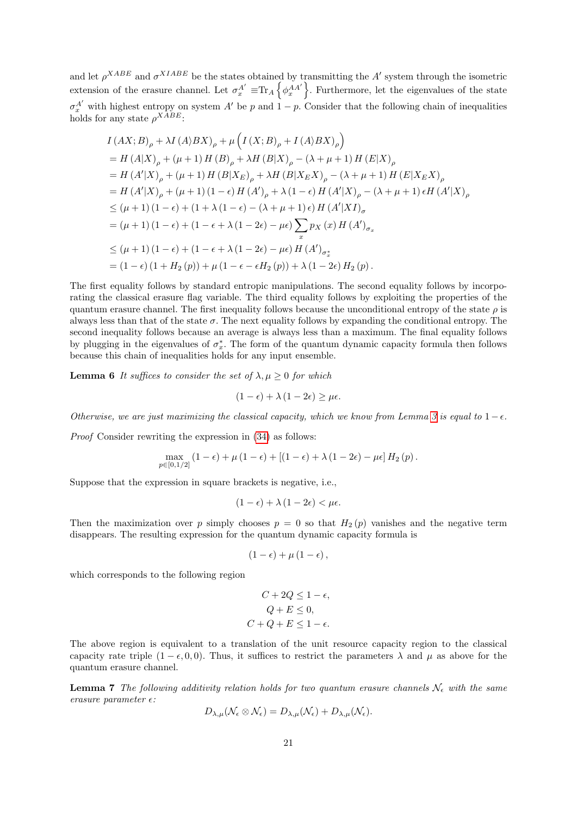and let  $\rho^{XABE}$  and  $\sigma^{XIABE}$  be the states obtained by transmitting the A' system through the isometric extension of the erasure channel. Let  $\sigma_x^{A'} = \text{Tr}_A \left\{ \phi_x^{AA'} \right\}$ . Furthermore, let the eigenvalues of the state  $\sigma_x^{A'}$  with highest entropy on system A' be p and  $1-p$ . Consider that the following chain of inequalities holds for any state  $\rho^{XABE}$ :

$$
I(AX; B)_{\rho} + \lambda I(A \rangle BX)_{\rho} + \mu \left( I(X; B)_{\rho} + I(A \rangle BX)_{\rho} \right)
$$
  
=  $H(A|X)_{\rho} + (\mu + 1) H(B)_{\rho} + \lambda H(B|X)_{\rho} - (\lambda + \mu + 1) H(E|X)_{\rho}$   
=  $H(A'|X)_{\rho} + (\mu + 1) H(B|X_E)_{\rho} + \lambda H(B|X_E X)_{\rho} - (\lambda + \mu + 1) H(E|X_E X)_{\rho}$   
=  $H(A'|X)_{\rho} + (\mu + 1) (1 - \epsilon) H(A')_{\rho} + \lambda (1 - \epsilon) H(A'|X)_{\rho} - (\lambda + \mu + 1) \epsilon H(A'|X)_{\rho}$   
 $\leq (\mu + 1) (1 - \epsilon) + (1 + \lambda (1 - \epsilon) - (\lambda + \mu + 1) \epsilon) H(A'|XI)_{\sigma}$   
=  $(\mu + 1) (1 - \epsilon) + (1 - \epsilon + \lambda (1 - 2\epsilon) - \mu \epsilon) \sum_x p_X(x) H(A')_{\sigma_x}$   
 $\leq (\mu + 1) (1 - \epsilon) + (1 - \epsilon + \lambda (1 - 2\epsilon) - \mu \epsilon) H(A')_{\sigma_x}$   
=  $(1 - \epsilon) (1 + H_2(p)) + \mu (1 - \epsilon - \epsilon H_2(p)) + \lambda (1 - 2\epsilon) H_2(p).$ 

The first equality follows by standard entropic manipulations. The second equality follows by incorporating the classical erasure flag variable. The third equality follows by exploiting the properties of the quantum erasure channel. The first inequality follows because the unconditional entropy of the state  $\rho$  is always less than that of the state  $\sigma$ . The next equality follows by expanding the conditional entropy. The second inequality follows because an average is always less than a maximum. The final equality follows by plugging in the eigenvalues of  $\sigma_x^*$ . The form of the quantum dynamic capacity formula then follows because this chain of inequalities holds for any input ensemble.

<span id="page-21-1"></span>**Lemma 6** It suffices to consider the set of  $\lambda, \mu \geq 0$  for which

$$
(1 - \epsilon) + \lambda (1 - 2\epsilon) \ge \mu \epsilon.
$$

Otherwise, we are just maximizing the classical capacity, which we know from Lemma [3](#page-19-2) is equal to  $1-\epsilon$ .

Proof Consider rewriting the expression in [\(34\)](#page-20-0) as follows:

$$
\max_{p\in[0,1/2]} \left(1-\epsilon\right)+\mu\left(1-\epsilon\right)+\left[\left(1-\epsilon\right)+\lambda\left(1-2\epsilon\right)-\mu\epsilon\right]H_2\left(p\right).
$$

Suppose that the expression in square brackets is negative, i.e.,

$$
(1-\epsilon)+\lambda (1-2\epsilon)<\mu\epsilon.
$$

Then the maximization over p simply chooses  $p = 0$  so that  $H_2(p)$  vanishes and the negative term disappears. The resulting expression for the quantum dynamic capacity formula is

$$
(1-\epsilon)+\mu(1-\epsilon)\,
$$

which corresponds to the following region

$$
C + 2Q \le 1 - \epsilon,
$$
  
\n
$$
Q + E \le 0,
$$
  
\n
$$
C + Q + E \le 1 - \epsilon.
$$

The above region is equivalent to a translation of the unit resource capacity region to the classical capacity rate triple  $(1 - \epsilon, 0, 0)$ . Thus, it suffices to restrict the parameters  $\lambda$  and  $\mu$  as above for the quantum erasure channel.

<span id="page-21-0"></span>**Lemma 7** The following additivity relation holds for two quantum erasure channels  $\mathcal{N}_{\epsilon}$  with the same erasure parameter  $\epsilon$ :

$$
D_{\lambda,\mu}(\mathcal{N}_{\epsilon}\otimes\mathcal{N}_{\epsilon})=D_{\lambda,\mu}(\mathcal{N}_{\epsilon})+D_{\lambda,\mu}(\mathcal{N}_{\epsilon}).
$$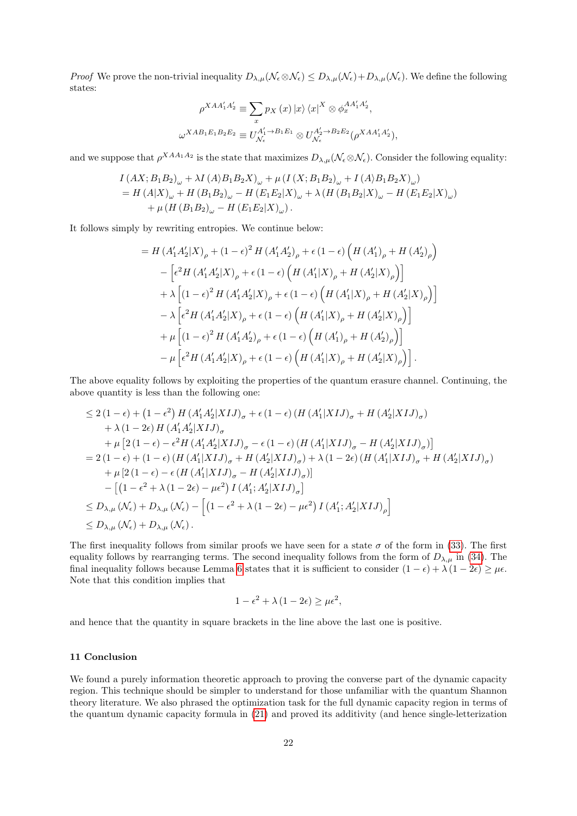*Proof* We prove the non-trivial inequality  $D_{\lambda,\mu}(\mathcal{N}_{\epsilon} \otimes \mathcal{N}_{\epsilon}) \leq D_{\lambda,\mu}(\mathcal{N}_{\epsilon}) + D_{\lambda,\mu}(\mathcal{N}_{\epsilon})$ . We define the following states:

$$
\rho^{XAA'_1A'_2} \equiv \sum_x p_X(x) \left| x \right\rangle \left\langle x \right|^X \otimes \phi_x^{AA'_1A'_2},
$$
  

$$
\omega^{XAB_1E_1B_2E_2} \equiv U_{\mathcal{N}_{\epsilon}}^{A'_1 \to B_1E_1} \otimes U_{\mathcal{N}_{\epsilon}}^{A'_2 \to B_2E_2}(\rho^{XAA'_1A'_2}),
$$

and we suppose that  $\rho^{XAA_1A_2}$  is the state that maximizes  $D_{\lambda,\mu}(\mathcal{N}_{\epsilon}\otimes\mathcal{N}_{\epsilon})$ . Consider the following equality:

$$
I (AX; B_1 B_2)_{\omega} + \lambda I (A \rangle B_1 B_2 X)_{\omega} + \mu (I (X; B_1 B_2)_{\omega} + I (A \rangle B_1 B_2 X)_{\omega})
$$
  
=  $H (A|X)_{\omega} + H (B_1 B_2)_{\omega} - H (E_1 E_2|X)_{\omega} + \lambda (H (B_1 B_2|X)_{\omega} - H (E_1 E_2|X)_{\omega})$   
+  $\mu (H (B_1 B_2)_{\omega} - H (E_1 E_2|X)_{\omega}).$ 

It follows simply by rewriting entropies. We continue below:

$$
= H\left(A'_{1}A'_{2}|X\rangle_{\rho} + (1-\epsilon)^{2} H\left(A'_{1}A'_{2}\right)_{\rho} + \epsilon (1-\epsilon) \left(H\left(A'_{1}\right)_{\rho} + H\left(A'_{2}\right)_{\rho}\right) - \left[\epsilon^{2} H\left(A'_{1}A'_{2}|X\rangle_{\rho} + \epsilon (1-\epsilon) \left(H\left(A'_{1}|X\rangle_{\rho} + H\left(A'_{2}|X\right)_{\rho}\right)\right] + \lambda \left[(1-\epsilon)^{2} H\left(A'_{1}A'_{2}|X\rangle_{\rho} + \epsilon (1-\epsilon) \left(H\left(A'_{1}|X\rangle_{\rho} + H\left(A'_{2}|X\right)_{\rho}\right)\right]\right) - \lambda \left[\epsilon^{2} H\left(A'_{1}A'_{2}|X\rangle_{\rho} + \epsilon (1-\epsilon) \left(H\left(A'_{1}|X\rangle_{\rho} + H\left(A'_{2}|X\right)_{\rho}\right)\right] \right] + \mu \left[(1-\epsilon)^{2} H\left(A'_{1}A'_{2}\right)_{\rho} + \epsilon (1-\epsilon) \left(H\left(A'_{1}\right)_{\rho} + H\left(A'_{2}\right)_{\rho}\right)\right] - \mu \left[\epsilon^{2} H\left(A'_{1}A'_{2}|X\rangle_{\rho} + \epsilon (1-\epsilon) \left(H\left(A'_{1}|X\rangle_{\rho} + H\left(A'_{2}|X\right)_{\rho}\right)\right)\right].
$$

The above equality follows by exploiting the properties of the quantum erasure channel. Continuing, the above quantity is less than the following one:

$$
\leq 2(1-\epsilon) + (1-\epsilon^2) H (A'_1A'_2|XIJ)_{\sigma} + \epsilon (1-\epsilon) (H (A'_1|XIJ)_{\sigma} + H (A'_2|XIJ)_{\sigma})
$$
  
+  $\lambda (1-2\epsilon) H (A'_1A'_2|XIJ)_{\sigma}$   
+  $\mu [2(1-\epsilon) - \epsilon^2 H (A'_1A'_2|XIJ)_{\sigma} - \epsilon (1-\epsilon) (H (A'_1|XIJ)_{\sigma} - H (A'_2|XIJ)_{\sigma})]$   
=  $2(1-\epsilon) + (1-\epsilon) (H (A'_1|XIJ)_{\sigma} + H (A'_2|XIJ)_{\sigma}) + \lambda (1-2\epsilon) (H (A'_1|XIJ)_{\sigma} + H (A'_2|XIJ)_{\sigma})$   
+  $\mu [2(1-\epsilon) - \epsilon (H (A'_1|XIJ)_{\sigma} - H (A'_2|XIJ)_{\sigma})]$   
-  $[(1-\epsilon^2 + \lambda (1-2\epsilon) - \mu\epsilon^2) I (A'_1; A'_2|XIJ)_{\sigma}]$   
 $\leq D_{\lambda,\mu} (\mathcal{N}_{\epsilon}) + D_{\lambda,\mu} (\mathcal{N}_{\epsilon}) - (1-\epsilon^2 + \lambda (1-2\epsilon) - \mu\epsilon^2) I (A'_1; A'_2|XIJ)_{\rho}]$   
 $\leq D_{\lambda,\mu} (\mathcal{N}_{\epsilon}) + D_{\lambda,\mu} (\mathcal{N}_{\epsilon}).$ 

The first inequality follows from similar proofs we have seen for a state  $\sigma$  of the form in [\(33\)](#page-20-1). The first equality follows by rearranging terms. The second inequality follows from the form of  $D_{\lambda,\mu}$  in [\(34\)](#page-20-0). The final inequality follows because Lemma [6](#page-21-1) states that it is sufficient to consider  $(1 - \epsilon) + \lambda (1 - 2\epsilon) \geq \mu \epsilon$ . Note that this condition implies that

$$
1 - \epsilon^2 + \lambda (1 - 2\epsilon) \ge \mu \epsilon^2,
$$

and hence that the quantity in square brackets in the line above the last one is positive.

# 11 Conclusion

We found a purely information theoretic approach to proving the converse part of the dynamic capacity region. This technique should be simpler to understand for those unfamiliar with the quantum Shannon theory literature. We also phrased the optimization task for the full dynamic capacity region in terms of the quantum dynamic capacity formula in [\(21\)](#page-11-1) and proved its additivity (and hence single-letterization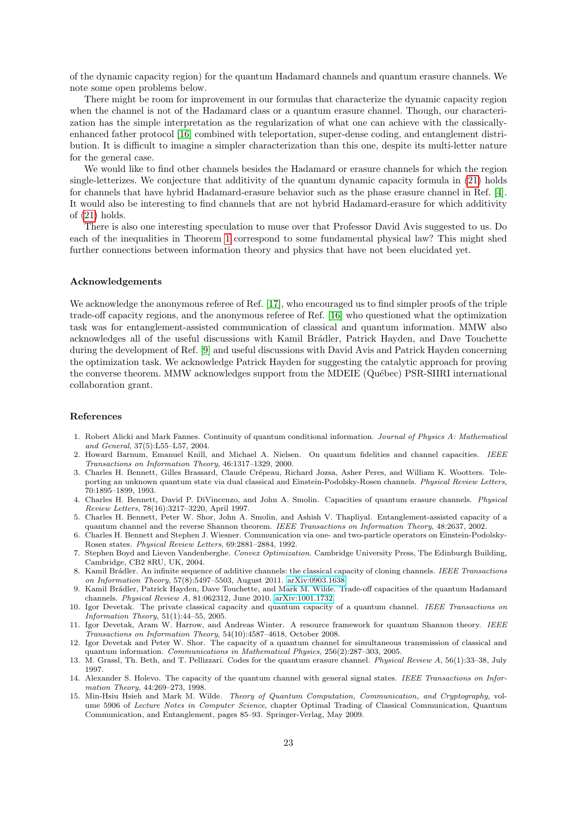of the dynamic capacity region) for the quantum Hadamard channels and quantum erasure channels. We note some open problems below.

There might be room for improvement in our formulas that characterize the dynamic capacity region when the channel is not of the Hadamard class or a quantum erasure channel. Though, our characterization has the simple interpretation as the regularization of what one can achieve with the classicallyenhanced father protocol [\[16\]](#page-24-0) combined with teleportation, super-dense coding, and entanglement distribution. It is difficult to imagine a simpler characterization than this one, despite its multi-letter nature for the general case.

We would like to find other channels besides the Hadamard or erasure channels for which the region single-letterizes. We conjecture that additivity of the quantum dynamic capacity formula in [\(21\)](#page-11-1) holds for channels that have hybrid Hadamard-erasure behavior such as the phase erasure channel in Ref. [\[4\]](#page-23-13). It would also be interesting to find channels that are not hybrid Hadamard-erasure for which additivity of [\(21\)](#page-11-1) holds.

There is also one interesting speculation to muse over that Professor David Avis suggested to us. Do each of the inequalities in Theorem [1](#page-6-4) correspond to some fundamental physical law? This might shed further connections between information theory and physics that have not been elucidated yet.

#### Acknowledgements

We acknowledge the anonymous referee of Ref. [\[17\]](#page-24-1), who encouraged us to find simpler proofs of the triple trade-off capacity regions, and the anonymous referee of Ref. [\[16\]](#page-24-0) who questioned what the optimization task was for entanglement-assisted communication of classical and quantum information. MMW also acknowledges all of the useful discussions with Kamil Brádler, Patrick Hayden, and Dave Touchette during the development of Ref. [\[9\]](#page-23-1) and useful discussions with David Avis and Patrick Hayden concerning the optimization task. We acknowledge Patrick Hayden for suggesting the catalytic approach for proving the converse theorem. MMW acknowledges support from the MDEIE (Québec) PSR-SIIRI international collaboration grant.

## References

- <span id="page-23-2"></span>1. Robert Alicki and Mark Fannes. Continuity of quantum conditional information. Journal of Physics A: Mathematical and General, 37(5):L55–L57, 2004.
- <span id="page-23-5"></span>2. Howard Barnum, Emanuel Knill, and Michael A. Nielsen. On quantum fidelities and channel capacities. IEEE Transactions on Information Theory, 46:1317–1329, 2000.
- <span id="page-23-3"></span>3. Charles H. Bennett, Gilles Brassard, Claude Crépeau, Richard Jozsa, Asher Peres, and William K. Wootters. Teleporting an unknown quantum state via dual classical and Einstein-Podolsky-Rosen channels. Physical Review Letters, 70:1895–1899, 1993.
- <span id="page-23-13"></span>4. Charles H. Bennett, David P. DiVincenzo, and John A. Smolin. Capacities of quantum erasure channels. Physical Review Letters, 78(16):3217–3220, April 1997.
- <span id="page-23-8"></span>5. Charles H. Bennett, Peter W. Shor, John A. Smolin, and Ashish V. Thapliyal. Entanglement-assisted capacity of a quantum channel and the reverse Shannon theorem. IEEE Transactions on Information Theory, 48:2637, 2002.
- <span id="page-23-4"></span>6. Charles H. Bennett and Stephen J. Wiesner. Communication via one- and two-particle operators on Einstein-Podolsky-Rosen states. Physical Review Letters, 69:2881–2884, 1992.
- <span id="page-23-7"></span>7. Stephen Boyd and Lieven Vandenberghe. Convex Optimization. Cambridge University Press, The Edinburgh Building, Cambridge, CB2 8RU, UK, 2004.
- <span id="page-23-11"></span>8. Kamil Brádler. An infinite sequence of additive channels: the classical capacity of cloning channels. IEEE Transactions on Information Theory, 57(8):5497–5503, August 2011. [arXiv:0903.1638.](http://arxiv.org/abs/0903.1638)
- <span id="page-23-1"></span>9. Kamil Brádler, Patrick Hayden, Dave Touchette, and Mark M. Wilde. Trade-off capacities of the quantum Hadamard channels. Physical Review A, 81:062312, June 2010. [arXiv:1001.1732.](http://arxiv.org/abs/1001.1732)
- <span id="page-23-9"></span>10. Igor Devetak. The private classical capacity and quantum capacity of a quantum channel. IEEE Transactions on Information Theory, 51(1):44–55, 2005.
- <span id="page-23-6"></span>11. Igor Devetak, Aram W. Harrow, and Andreas Winter. A resource framework for quantum Shannon theory. IEEE Transactions on Information Theory, 54(10):4587–4618, October 2008.
- 12. Igor Devetak and Peter W. Shor. The capacity of a quantum channel for simultaneous transmission of classical and quantum information. Communications in Mathematical Physics, 256(2):287–303, 2005.
- <span id="page-23-12"></span>13. M. Grassl, Th. Beth, and T. Pellizzari. Codes for the quantum erasure channel. Physical Review A, 56(1):33–38, July 1997.
- <span id="page-23-10"></span>14. Alexander S. Holevo. The capacity of the quantum channel with general signal states. IEEE Transactions on Information Theory, 44:269–273, 1998.
- <span id="page-23-0"></span>15. Min-Hsiu Hsieh and Mark M. Wilde. Theory of Quantum Computation, Communication, and Cryptography, volume 5906 of Lecture Notes in Computer Science, chapter Optimal Trading of Classical Communication, Quantum Communication, and Entanglement, pages 85–93. Springer-Verlag, May 2009.